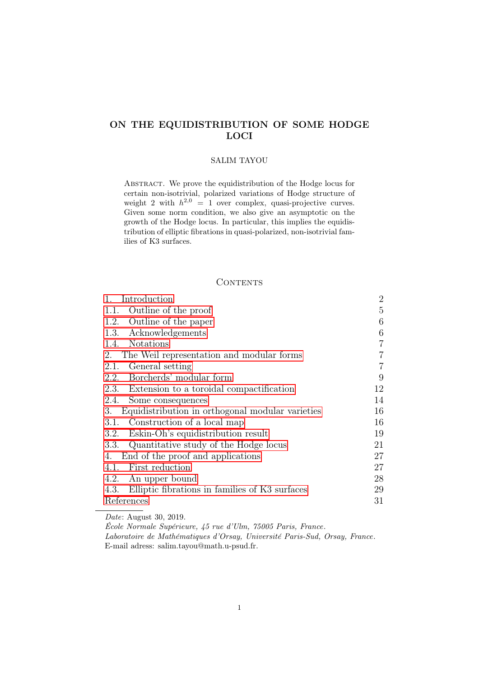# ON THE EQUIDISTRIBUTION OF SOME HODGE LOCI

## SALIM TAYOU

Abstract. We prove the equidistribution of the Hodge locus for certain non-isotrivial, polarized variations of Hodge structure of weight 2 with  $h^{2,0} = 1$  over complex, quasi-projective curves. Given some norm condition, we also give an asymptotic on the growth of the Hodge locus. In particular, this implies the equidistribution of elliptic fibrations in quasi-polarized, non-isotrivial families of K3 surfaces.

# CONTENTS

| Introduction<br>1.                                     | $\overline{2}$ |
|--------------------------------------------------------|----------------|
| 1.1. Outline of the proof                              | 5              |
| 1.2. Outline of the paper                              | 6              |
| 1.3. Acknowledgements                                  | 6              |
| 1.4. Notations                                         | 7              |
| The Weil representation and modular forms<br>2.        | 7              |
| General setting<br>2.1.                                | 7              |
| 2.2. Borcherds' modular form                           | 9              |
| 2.3. Extension to a toroidal compactification          | 12             |
| 2.4. Some consequences                                 | 14             |
| Equidistribution in orthogonal modular varieties<br>3. | 16             |
| Construction of a local map<br>3.1.                    | 16             |
| Eskin-Oh's equidistribution result<br>3.2.             | 19             |
| 3.3. Quantitative study of the Hodge locus             | 21             |
| End of the proof and applications<br>4.                | 27             |
| 4.1. First reduction                                   | 27             |
| 4.2. An upper bound                                    | 28             |
| 4.3. Elliptic fibrations in families of K3 surfaces    | 29             |
| References                                             | 31             |

Date: August 30, 2019.

École Normale Supérieure, 45 rue d'Ulm, 75005 Paris, France. Laboratoire de Mathématiques d'Orsay, Université Paris-Sud, Orsay, France. E-mail adress: salim.tayou@math.u-psud.fr.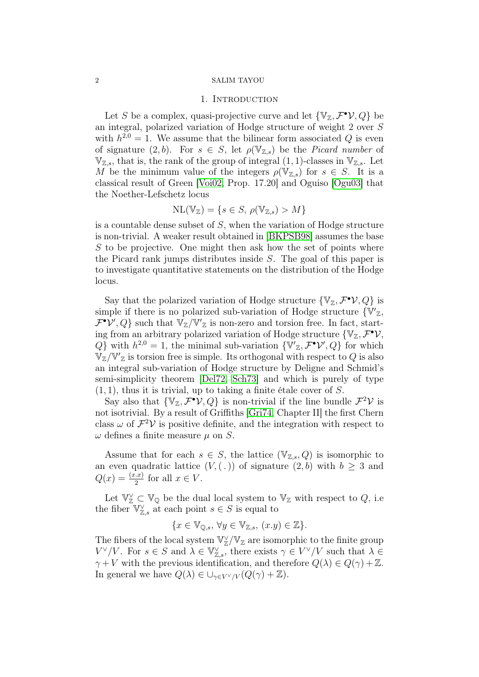### 1. INTRODUCTION

<span id="page-1-0"></span>Let S be a complex, quasi-projective curve and let  $\{\mathbb{V}_{\mathbb{Z}}, \mathcal{F}^{\bullet} \mathcal{V}, Q\}$  be an integral, polarized variation of Hodge structure of weight 2 over S with  $h^{2,0} = 1$ . We assume that the bilinear form associated Q is even of signature  $(2, b)$ . For  $s \in S$ , let  $\rho(\mathbb{V}_{\mathbb{Z},s})$  be the *Picard number* of  $\mathbb{V}_{\mathbb{Z},s}$ , that is, the rank of the group of integral  $(1, 1)$ -classes in  $\mathbb{V}_{\mathbb{Z},s}$ . Let M be the minimum value of the integers  $\rho(\mathbb{V}_{\mathbb{Z},s})$  for  $s \in S$ . It is a classical result of Green [\[Voi02,](#page-32-0) Prop. 17.20] and Oguiso [\[Ogu03\]](#page-32-1) that the Noether-Lefschetz locus

$$
\mathrm{NL}(\mathbb{V}_{\mathbb{Z}}) = \{ s \in S, \, \rho(\mathbb{V}_{\mathbb{Z},s}) > M \}
$$

is a countable dense subset of S, when the variation of Hodge structure is non-trivial. A weaker result obtained in [\[BKPSB98\]](#page-31-0) assumes the base S to be projective. One might then ask how the set of points where the Picard rank jumps distributes inside S. The goal of this paper is to investigate quantitative statements on the distribution of the Hodge locus.

Say that the polarized variation of Hodge structure  $\{\mathbb{V}_{\mathbb{Z}}, \mathcal{F}^{\bullet} \mathcal{V}, Q\}$  is simple if there is no polarized sub-variation of Hodge structure  $\{\nabla'_{\mathbb{Z}},\nabla'_{\mathbb{Z}}\}$  $\mathcal{F}^{\bullet}\mathcal{V}', Q$  such that  $\mathbb{V}_{\mathbb{Z}}/\mathbb{V}'_{\mathbb{Z}}$  is non-zero and torsion free. In fact, starting from an arbitrary polarized variation of Hodge structure  $\{V_z, \mathcal{F}^{\bullet}\mathcal{V},\}$  $Q$  with  $h^{2,0} = 1$ , the minimal sub-variation  $\{\nabla'_{\mathbb{Z}}, \mathcal{F}^{\bullet} \mathcal{V}', Q\}$  for which  $\mathbb{V}_{\mathbb{Z}}/\mathbb{V}'_{\mathbb{Z}}$  is torsion free is simple. Its orthogonal with respect to Q is also an integral sub-variation of Hodge structure by Deligne and Schmid's semi-simplicity theorem [\[Del72,](#page-31-1) [Sch73\]](#page-32-2) and which is purely of type  $(1, 1)$ , thus it is trivial, up to taking a finite étale cover of S.

Say also that  $\{ \mathbb{V}_{\mathbb{Z}}, \mathcal{F}^{\bullet} \mathcal{V}, Q \}$  is non-trivial if the line bundle  $\mathcal{F}^2 \mathcal{V}$  is not isotrivial. By a result of Griffiths [\[Gri74,](#page-31-2) Chapter II] the first Chern class  $\omega$  of  $\mathcal{F}^2 \mathcal{V}$  is positive definite, and the integration with respect to  $\omega$  defines a finite measure  $\mu$  on S.

Assume that for each  $s \in S$ , the lattice  $(\mathbb{V}_{\mathbb{Z},s}, Q)$  is isomorphic to an even quadratic lattice  $(V, (.))$  of signature  $(2, b)$  with  $b \geq 3$  and  $Q(x) = \frac{(x.x)}{2}$  for all  $x \in V$ .

Let  $\mathbb{V}_{\mathbb{Z}}^{\vee} \subset \mathbb{V}_{\mathbb{Q}}$  be the dual local system to  $\mathbb{V}_{\mathbb{Z}}$  with respect to  $Q$ , i.e the fiber  $\mathbb{V}_{\mathbb{Z},s}^{\vee}$  at each point  $s \in S$  is equal to

$$
\{x \in \mathbb{V}_{\mathbb{Q},s}, \forall y \in \mathbb{V}_{\mathbb{Z},s}, (x.y) \in \mathbb{Z}\}.
$$

The fibers of the local system  $\mathbb{V}_\mathbb{Z}^\vee/\mathbb{V}_\mathbb{Z}$  are isomorphic to the finite group  $V^{\vee}/V$ . For  $s \in S$  and  $\lambda \in \mathbb{V}_{\mathbb{Z},s}^{\vee}$ , there exists  $\gamma \in V^{\vee}/V$  such that  $\lambda \in$  $\gamma + V$  with the previous identification, and therefore  $Q(\lambda) \in Q(\gamma) + \mathbb{Z}$ . In general we have  $Q(\lambda) \in \bigcup_{\gamma \in V^{\vee}/V} (Q(\gamma) + \mathbb{Z}).$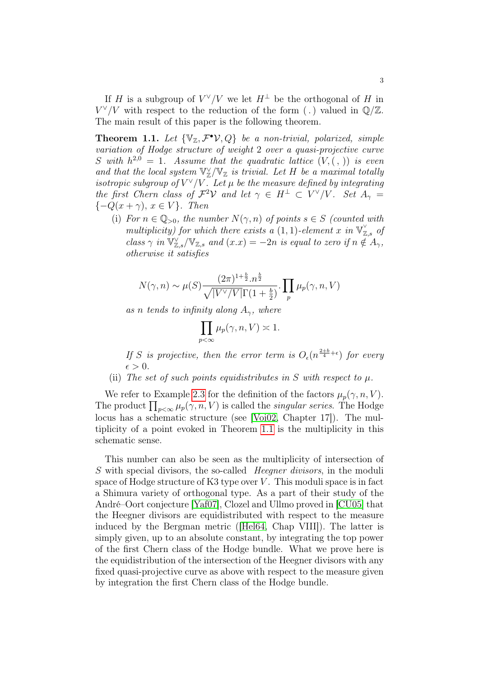If H is a subgroup of  $V^{\vee}/V$  we let  $H^{\perp}$  be the orthogonal of H in  $V^{\vee}/V$  with respect to the reduction of the form (.) valued in  $\mathbb{Q}/\mathbb{Z}$ . The main result of this paper is the following theorem.

<span id="page-2-0"></span>**Theorem 1.1.** Let  $\{V_{\mathbb{Z}}, \mathcal{F}^{\bullet}V, Q\}$  be a non-trivial, polarized, simple variation of Hodge structure of weight 2 over a quasi-projective curve S with  $h^{2,0} = 1$ . Assume that the quadratic lattice  $(V, ( , ))$  is even and that the local system  $\mathbb{V}_\mathbb{Z}^\vee/\mathbb{V}_\mathbb{Z}$  is trivial. Let H be a maximal totally isotropic subgroup of  $V^{\vee}/V$ . Let  $\mu$  be the measure defined by integrating the first Chern class of  $\mathcal{F}^2\mathcal{V}$  and let  $\gamma \in H^{\perp} \subset V^{\vee}/V$ . Set  $A_{\gamma} =$  $\{-Q(x + \gamma), x \in V\}$ . Then

(i) For  $n \in \mathbb{Q}_{>0}$ , the number  $N(\gamma, n)$  of points  $s \in S$  (counted with multiplicity) for which there exists a (1,1)-element x in  $\mathbb{V}_{\mathbb{Z},s}^{\vee}$  of class  $\gamma$  in  $\mathbb{V}_{\mathbb{Z},s}^{\vee}/\mathbb{V}_{\mathbb{Z},s}$  and  $(x.x) = -2n$  is equal to zero if  $n \notin A_{\gamma}$ , otherwise it satisfies

$$
N(\gamma, n) \sim \mu(S) \frac{(2\pi)^{1+\frac{b}{2}} n^{\frac{b}{2}}}{\sqrt{|V^{\vee}/V|} \Gamma(1+\frac{b}{2})} \cdot \prod_{p} \mu_p(\gamma, n, V)
$$

as n tends to infinity along  $A_{\gamma}$ , where

$$
\prod_{p<\infty}\mu_p(\gamma,n,V)\asymp 1.
$$

If S is projective, then the error term is  $O_{\epsilon}(n^{\frac{2+b}{4}+\epsilon})$  for every  $\epsilon > 0$ .

(ii) The set of such points equidistributes in S with respect to  $\mu$ .

We refer to Example [2.3](#page-7-0) for the definition of the factors  $\mu_p(\gamma, n, V)$ . The product  $\prod_{p<\infty}\mu_p(\gamma,n,V)$  is called the *singular series*. The Hodge locus has a schematic structure (see [\[Voi02,](#page-32-0) Chapter 17]). The multiplicity of a point evoked in Theorem [1.1](#page-2-0) is the multiplicity in this schematic sense.

This number can also be seen as the multiplicity of intersection of S with special divisors, the so-called *Heegner divisors*, in the moduli space of Hodge structure of K3 type over  $V$ . This moduli space is in fact a Shimura variety of orthogonal type. As a part of their study of the André–Oort conjecture [\[Yaf07\]](#page-32-3), Clozel and Ullmo proved in [\[CU05\]](#page-31-3) that the Heegner divisors are equidistributed with respect to the measure induced by the Bergman metric ([\[Hel64,](#page-31-4) Chap VIII]). The latter is simply given, up to an absolute constant, by integrating the top power of the first Chern class of the Hodge bundle. What we prove here is the equidistribution of the intersection of the Heegner divisors with any fixed quasi-projective curve as above with respect to the measure given by integration the first Chern class of the Hodge bundle.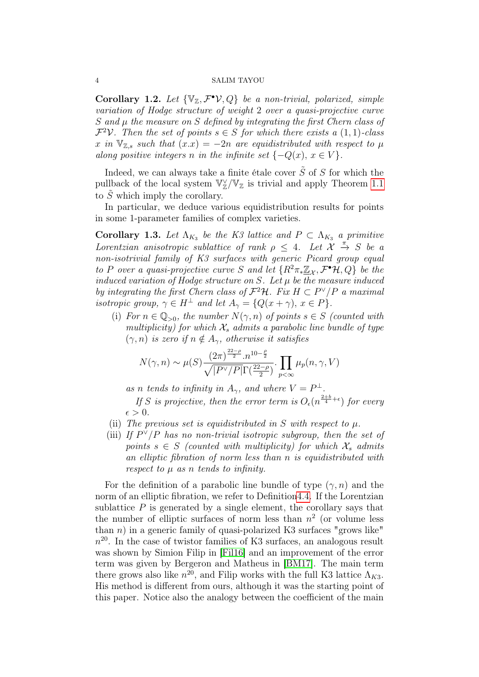Corollary 1.2. Let  $\{V_z, \mathcal{F}^{\bullet} \mathcal{V}, Q\}$  be a non-trivial, polarized, simple variation of Hodge structure of weight 2 over a quasi-projective curve S and  $\mu$  the measure on S defined by integrating the first Chern class of  $\mathcal{F}^2\mathcal{V}$ . Then the set of points  $s \in S$  for which there exists a  $(1,1)$ -class x in  $\mathbb{V}_{\mathbb{Z},s}$  such that  $(x.x) = -2n$  are equidistributed with respect to  $\mu$ along positive integers n in the infinite set  $\{-Q(x), x \in V\}$ .

Indeed, we can always take a finite étale cover  $\tilde{S}$  of S for which the pullback of the local system  $\mathbb{V}_\mathbb{Z}^\vee/\mathbb{V}_\mathbb{Z}$  is trivial and apply Theorem [1.1](#page-2-0) to  $\tilde{S}$  which imply the corollary.

In particular, we deduce various equidistribution results for points in some 1-parameter families of complex varieties.

<span id="page-3-0"></span>**Corollary 1.3.** Let  $\Lambda_{K_3}$  be the K3 lattice and  $P \subset \Lambda_{K_3}$  a primitive Lorentzian anisotropic sublattice of rank  $\rho \leq 4$ . Let  $\mathcal{X} \stackrel{\pi}{\rightarrow} S$  be a non-isotrivial family of K3 surfaces with generic Picard group equal to P over a quasi-projective curve S and let  $\{R^2\pi_*\underline{\mathbb{Z}}_{\mathcal{X}},\mathcal{F}^{\bullet}\mathcal{H},Q\}$  be the induced variation of Hodge structure on  $S$ . Let  $\mu$  be the measure induced by integrating the first Chern class of  $\mathcal{F}^2\mathcal{H}$ . Fix  $H \subset P^{\vee}/P$  a maximal isotropic group,  $\gamma \in H^{\perp}$  and let  $A_{\gamma} = \{Q(x + \gamma), x \in P\}.$ 

(i) For  $n \in \mathbb{Q}_{>0}$ , the number  $N(\gamma, n)$  of points  $s \in S$  (counted with multiplicity) for which  $\mathcal{X}_s$  admits a parabolic line bundle of type  $(\gamma, n)$  is zero if  $n \notin A_{\gamma}$ , otherwise it satisfies

$$
N(\gamma, n) \sim \mu(S) \frac{(2\pi)^{\frac{22-\rho}{2}} \cdot n^{10-\frac{\rho}{2}}}{\sqrt{|P^{\vee}/P|} \Gamma(\frac{22-\rho}{2})} \cdot \prod_{p < \infty} \mu_p(n, \gamma, V)
$$

as n tends to infinity in  $A_{\gamma}$ , and where  $V = P^{\perp}$ .

If S is projective, then the error term is  $O_{\epsilon}(n^{\frac{2+b}{4}+\epsilon})$  for every  $\epsilon > 0$ .

- (ii) The previous set is equidistributed in S with respect to  $\mu$ .
- (iii) If  $P^{\vee}/P$  has no non-trivial isotropic subgroup, then the set of points  $s \in S$  (counted with multiplicity) for which  $\mathcal{X}_s$  admits an elliptic fibration of norm less than n is equidistributed with respect to  $\mu$  as n tends to infinity.

For the definition of a parabolic line bundle of type  $(\gamma, n)$  and the norm of an elliptic fibration, we refer to Definitio[n4.4.](#page-29-0) If the Lorentzian sublattice  $P$  is generated by a single element, the corollary says that the number of elliptic surfaces of norm less than  $n^2$  (or volume less than n) in a generic family of quasi-polarized K3 surfaces "grows like"  $n^{20}$ . In the case of twistor families of K3 surfaces, an analogous result was shown by Simion Filip in [\[Fil16\]](#page-31-5) and an improvement of the error term was given by Bergeron and Matheus in [\[BM17\]](#page-31-6). The main term there grows also like  $n^{20}$ , and Filip works with the full K3 lattice  $\Lambda_{K3}$ . His method is different from ours, although it was the starting point of this paper. Notice also the analogy between the coefficient of the main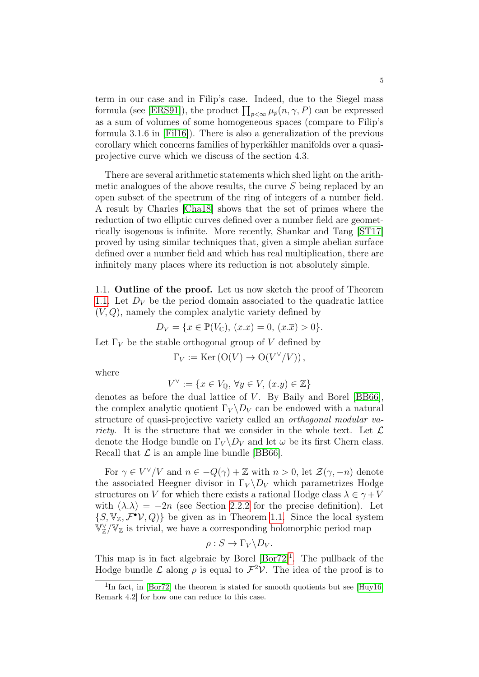term in our case and in Filip's case. Indeed, due to the Siegel mass formula (see [\[ERS91\]](#page-31-7)), the product  $\prod_{p<\infty}\mu_p(n,\gamma,P)$  can be expressed as a sum of volumes of some homogeneous spaces (compare to Filip's formula 3.1.6 in [\[Fil16\]](#page-31-5)). There is also a generalization of the previous corollary which concerns families of hyperkähler manifolds over a quasiprojective curve which we discuss of the section 4.3.

There are several arithmetic statements which shed light on the arithmetic analogues of the above results, the curve S being replaced by an open subset of the spectrum of the ring of integers of a number field. A result by Charles [\[Cha18\]](#page-31-8) shows that the set of primes where the reduction of two elliptic curves defined over a number field are geometrically isogenous is infinite. More recently, Shankar and Tang [\[ST17\]](#page-32-4) proved by using similar techniques that, given a simple abelian surface defined over a number field and which has real multiplication, there are infinitely many places where its reduction is not absolutely simple.

<span id="page-4-0"></span>1.1. Outline of the proof. Let us now sketch the proof of Theorem [1.1.](#page-2-0) Let  $D_V$  be the period domain associated to the quadratic lattice  $(V, Q)$ , namely the complex analytic variety defined by

$$
D_V = \{ x \in \mathbb{P}(V_{\mathbb{C}}), (x.x) = 0, (x.\overline{x}) > 0 \}.
$$

Let  $\Gamma_V$  be the stable orthogonal group of V defined by

$$
\Gamma_V := \text{Ker} (O(V) \to O(V^{\vee}/V)),
$$

where

$$
V^{\vee} := \{ x \in V_{\mathbb{Q}}, \,\forall y \in V, \,(x.y) \in \mathbb{Z} \}
$$

denotes as before the dual lattice of  $V$ . By Baily and Borel [\[BB66\]](#page-30-1), the complex analytic quotient  $\Gamma_V \backslash D_V$  can be endowed with a natural structure of quasi-projective variety called an orthogonal modular variety. It is the structure that we consider in the whole text. Let  $\mathcal L$ denote the Hodge bundle on  $\Gamma_V \backslash D_V$  and let  $\omega$  be its first Chern class. Recall that  $\mathcal L$  is an ample line bundle [\[BB66\]](#page-30-1).

For  $\gamma \in V^{\vee}/V$  and  $n \in -Q(\gamma) + \mathbb{Z}$  with  $n > 0$ , let  $\mathcal{Z}(\gamma, -n)$  denote the associated Heegner divisor in  $\Gamma_V \backslash D_V$  which parametrizes Hodge structures on V for which there exists a rational Hodge class  $\lambda \in \gamma + V$ with  $(\lambda \lambda) = -2n$  (see Section [2.2.2](#page-9-0) for the precise definition). Let  $\{S, \mathbb{V}_\mathbb{Z}, \mathcal{F}^{\bullet} \mathcal{V}, Q\}$  be given as in Theorem [1.1.](#page-2-0) Since the local system  $\widetilde{\mathbb{V}}_{\mathbb{Z}}^{\vee}/\mathbb{V}_{\mathbb{Z}}$  is trivial, we have a corresponding holomorphic period map

$$
\rho: S \to \Gamma_V \backslash D_V.
$$

This map is in fact algebraic by Borel  $[Bor72]$ <sup>[1](#page-4-1)</sup>. The pullback of the Hodge bundle L along  $\rho$  is equal to  $\mathcal{F}^2 \mathcal{V}$ . The idea of the proof is to

<span id="page-4-1"></span><sup>&</sup>lt;sup>1</sup>In fact, in [\[Bor72\]](#page-31-9) the theorem is stated for smooth quotients but see [\[Huy16,](#page-32-5) Remark 4.2] for how one can reduce to this case.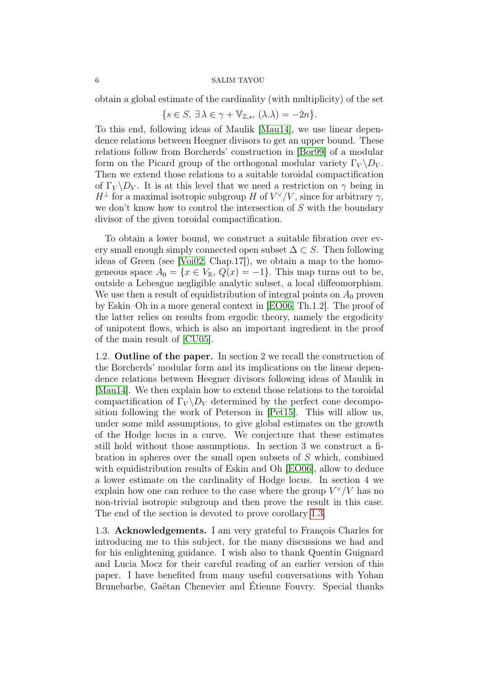obtain a global estimate of the cardinality (with multiplicity) of the set

$$
\{s \in S, \,\exists \,\lambda \in \gamma + \mathbb{V}_{\mathbb{Z},s}, \, (\lambda \cdot \lambda) = -2n\}.
$$

To this end, following ideas of Maulik [\[Mau14\]](#page-32-6), we use linear dependence relations between Heegner divisors to get an upper bound. These relations follow from Borcherds' construction in [\[Bor99\]](#page-31-10) of a modular form on the Picard group of the orthogonal modular variety  $\Gamma_V \backslash D_V$ . Then we extend those relations to a suitable toroidal compactification of  $\Gamma_V \backslash D_V$ . It is at this level that we need a restriction on  $\gamma$  being in  $H^{\perp}$  for a maximal isotropic subgroup H of  $V^{\vee}/V$ , since for arbitrary  $\gamma$ , we don't know how to control the intersection of S with the boundary divisor of the given toroidal compactification.

To obtain a lower bound, we construct a suitable fibration over every small enough simply connected open subset  $\Delta \subset S$ . Then following ideas of Green (see [\[Voi02,](#page-32-0) Chap.17]), we obtain a map to the homogeneous space  $A_0 = \{x \in V_{\mathbb{R}}, Q(x) = -1\}$ . This map turns out to be, outside a Lebesgue negligible analytic subset, a local diffeomorphism. We use then a result of equidistribution of integral points on  $A_0$  proven by Eskin–Oh in a more general context in [\[EO06,](#page-31-11) Th.1.2]. The proof of the latter relies on results from ergodic theory, namely the ergodicity of unipotent flows, which is also an important ingredient in the proof of the main result of [\[CU05\]](#page-31-3).

<span id="page-5-0"></span>1.2. Outline of the paper. In section 2 we recall the construction of the Borcherds' modular form and its implications on the linear dependence relations between Heegner divisors following ideas of Maulik in [\[Mau14\]](#page-32-6). We then explain how to extend those relations to the toroidal compactification of  $\Gamma_V \backslash D_V$  determined by the perfect cone decomposition following the work of Peterson in [\[Pet15\]](#page-32-7). This will allow us, under some mild assumptions, to give global estimates on the growth of the Hodge locus in a curve. We conjecture that these estimates still hold without those assumptions. In section 3 we construct a fibration in spheres over the small open subsets of  $S$  which, combined with equidistribution results of Eskin and Oh [\[EO06\]](#page-31-11), allow to deduce a lower estimate on the cardinality of Hodge locus. In section 4 we explain how one can reduce to the case where the group  $V^{\vee}/V$  has no non-trivial isotropic subgroup and then prove the result in this case. The end of the section is devoted to prove corollary [1.3.](#page-3-0)

<span id="page-5-1"></span>1.3. Acknowledgements. I am very grateful to François Charles for introducing me to this subject, for the many discussions we had and for his enlightening guidance. I wish also to thank Quentin Guignard and Lucia Mocz for their careful reading of an earlier version of this paper. I have benefited from many useful conversations with Yohan Brunebarbe, Gaëtan Chenevier and Étienne Fouvry. Special thanks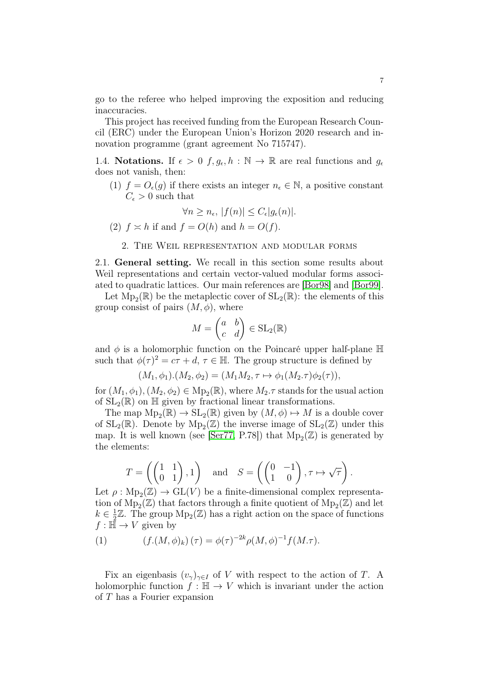go to the referee who helped improving the exposition and reducing inaccuracies.

This project has received funding from the European Research Council (ERC) under the European Union's Horizon 2020 research and innovation programme (grant agreement No 715747).

<span id="page-6-0"></span>1.4. Notations. If  $\epsilon > 0$   $f, g_{\epsilon}, h : \mathbb{N} \to \mathbb{R}$  are real functions and  $g_{\epsilon}$ does not vanish, then:

(1)  $f = O_{\epsilon}(g)$  if there exists an integer  $n_{\epsilon} \in \mathbb{N}$ , a positive constant  $C_{\epsilon} > 0$  such that

$$
\forall n \ge n_{\epsilon}, \, |f(n)| \le C_{\epsilon} |g_{\epsilon}(n)|.
$$

(2)  $f \approx h$  if and  $f = O(h)$  and  $h = O(f)$ .

### 2. The Weil representation and modular forms

<span id="page-6-2"></span><span id="page-6-1"></span>2.1. General setting. We recall in this section some results about Weil representations and certain vector-valued modular forms associated to quadratic lattices. Our main references are [\[Bor98\]](#page-31-12) and [\[Bor99\]](#page-31-10).

Let  $\text{Mp}_2(\mathbb{R})$  be the metaplectic cover of  $\text{SL}_2(\mathbb{R})$ : the elements of this group consist of pairs  $(M, \phi)$ , where

$$
M = \begin{pmatrix} a & b \\ c & d \end{pmatrix} \in SL_2(\mathbb{R})
$$

and  $\phi$  is a holomorphic function on the Poincaré upper half-plane  $\mathbb H$ such that  $\phi(\tau)^2 = c\tau + d, \tau \in \mathbb{H}$ . The group structure is defined by

$$
(M_1, \phi_1) . (M_2, \phi_2) = (M_1 M_2, \tau \mapsto \phi_1(M_2 \tau) \phi_2(\tau)),
$$

for  $(M_1, \phi_1), (M_2, \phi_2) \in \text{Mp}_2(\mathbb{R})$ , where  $M_2$ . T stands for the usual action of  $SL_2(\mathbb{R})$  on  $\mathbb{H}$  given by fractional linear transformations.

The map  $Mp_2(\mathbb{R}) \to SL_2(\mathbb{R})$  given by  $(M, \phi) \mapsto M$  is a double cover of  $SL_2(\mathbb{R})$ . Denote by  $Mp_2(\mathbb{Z})$  the inverse image of  $SL_2(\mathbb{Z})$  under this map. It is well known (see [\[Ser77,](#page-32-8) P.78]) that  $Mp_2(\mathbb{Z})$  is generated by the elements:

$$
T = \left( \begin{pmatrix} 1 & 1 \\ 0 & 1 \end{pmatrix}, 1 \right) \quad \text{and} \quad S = \left( \begin{pmatrix} 0 & -1 \\ 1 & 0 \end{pmatrix}, \tau \mapsto \sqrt{\tau} \right).
$$

Let  $\rho: \text{Mp}_2(\mathbb{Z}) \to \text{GL}(V)$  be a finite-dimensional complex representation of  $\text{Mp}_2(\mathbb{Z})$  that factors through a finite quotient of  $\text{Mp}_2(\mathbb{Z})$  and let  $k \in \frac{1}{2}$  $\frac{1}{2}\mathbb{Z}$ . The group  $\text{Mp}_2(\mathbb{Z})$  has a right action on the space of functions  $f : \mathbb{H} \to V$  given by

<span id="page-6-3"></span>(1) 
$$
(f.(M, \phi)_k)(\tau) = \phi(\tau)^{-2k} \rho(M, \phi)^{-1} f(M. \tau).
$$

Fix an eigenbasis  $(v_{\gamma})_{\gamma \in I}$  of V with respect to the action of T. A holomorphic function  $f : \mathbb{H} \to V$  which is invariant under the action of T has a Fourier expansion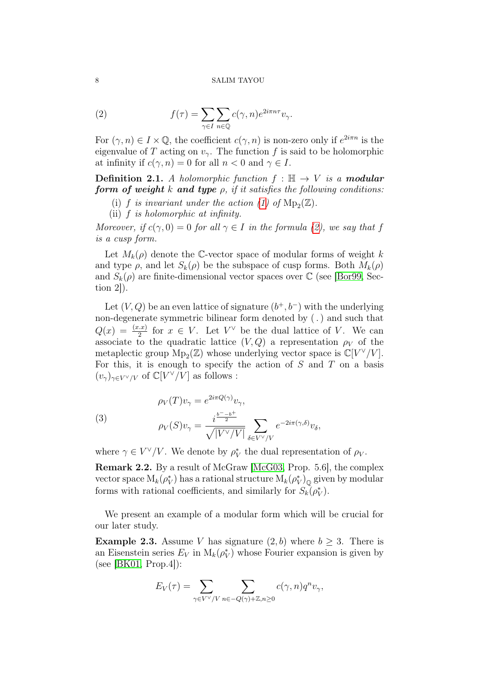<span id="page-7-1"></span>(2) 
$$
f(\tau) = \sum_{\gamma \in I} \sum_{n \in \mathbb{Q}} c(\gamma, n) e^{2i\pi n \tau} v_{\gamma}.
$$

For  $(\gamma, n) \in I \times \mathbb{Q}$ , the coefficient  $c(\gamma, n)$  is non-zero only if  $e^{2i\pi n}$  is the eigenvalue of T acting on  $v_{\gamma}$ . The function f is said to be holomorphic at infinity if  $c(\gamma, n) = 0$  for all  $n < 0$  and  $\gamma \in I$ .

**Definition 2.1.** A holomorphic function  $f : \mathbb{H} \to V$  is a modular form of weight k and type  $\rho$ , if it satisfies the following conditions:

- (i) f is invariant under the action [\(1\)](#page-6-3) of  $Mp_2(\mathbb{Z})$ .
- (ii) f is holomorphic at infinity.

Moreover, if  $c(\gamma, 0) = 0$  for all  $\gamma \in I$  in the formula [\(2\)](#page-7-1), we say that f is a cusp form.

Let  $M_k(\rho)$  denote the C-vector space of modular forms of weight k and type  $\rho$ , and let  $S_k(\rho)$  be the subspace of cusp forms. Both  $M_k(\rho)$ and  $S_k(\rho)$  are finite-dimensional vector spaces over  $\mathbb C$  (see [\[Bor99,](#page-31-10) Section  $2$ .

Let  $(V, Q)$  be an even lattice of signature  $(b^+, b^-)$  with the underlying non-degenerate symmetric bilinear form denoted by (.) and such that  $Q(x) = \frac{(x.x)}{2}$  for  $x \in V$ . Let  $V^{\vee}$  be the dual lattice of V. We can associate to the quadratic lattice  $(V, Q)$  a representation  $\rho_V$  of the metaplectic group  $\mathrm{Mp}_2(\mathbb{Z})$  whose underlying vector space is  $\mathbb{C}[V^{\vee}/V]$ . For this, it is enough to specify the action of  $S$  and  $T$  on a basis  $(v_\gamma)_{\gamma \in V^\vee / V}$  of  $\mathbb{C}[V^\vee / V]$  as follows :

<span id="page-7-3"></span>(3)  

$$
\rho_V(T)v_\gamma = e^{2i\pi Q(\gamma)}v_\gamma,
$$

$$
\rho_V(S)v_\gamma = \frac{i^{\frac{b^--b^+}{2}}}{\sqrt{|V^\vee/V|}} \sum_{\delta \in V^\vee/V} e^{-2i\pi(\gamma,\delta)}v_\delta,
$$

where  $\gamma \in V^{\vee}/V$ . We denote by  $\rho_V^*$  the dual representation of  $\rho_V$ .

<span id="page-7-2"></span>Remark 2.2. By a result of McGraw [\[McG03,](#page-32-9) Prop. 5.6], the complex vector space  $M_k(\rho_V^*)$  has a rational structure  $M_k(\rho_V^*)_{\mathbb Q}$  given by modular forms with rational coefficients, and similarly for  $S_k(\rho_V^*)$ .

We present an example of a modular form which will be crucial for our later study.

<span id="page-7-0"></span>**Example 2.3.** Assume V has signature  $(2, b)$  where  $b \geq 3$ . There is an Eisenstein series  $E_V$  in  $M_k(\rho_V^*)$  whose Fourier expansion is given by (see [\[BK01,](#page-30-2) Prop.4]):

$$
E_V(\tau) = \sum_{\gamma \in V^{\vee}/V} \sum_{n \in -Q(\gamma) + \mathbb{Z}, n \ge 0} c(\gamma, n) q^n v_{\gamma},
$$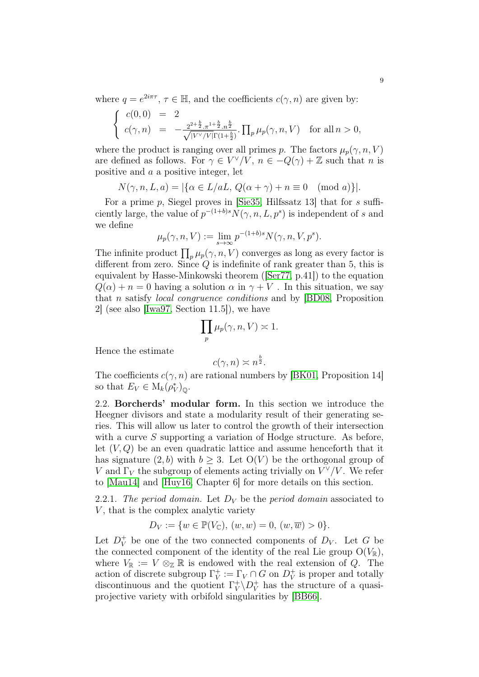where  $q = e^{2i\pi\tau}$ ,  $\tau \in \mathbb{H}$ , and the coefficients  $c(\gamma, n)$  are given by:

$$
\begin{cases}\nc(0,0) = 2 \\
c(\gamma, n) = -\frac{2^{2+\frac{b}{2}}\cdot \pi^{1+\frac{b}{2}}\cdot n^{\frac{b}{2}}}{\sqrt{|V' \setminus V|} \Gamma(1+\frac{b}{2})} \cdot \prod_{p} \mu_p(\gamma, n, V) \quad \text{for all } n > 0,\n\end{cases}
$$

where the product is ranging over all primes p. The factors  $\mu_p(\gamma, n, V)$ are defined as follows. For  $\gamma \in V^{\vee}/V$ ,  $n \in -Q(\gamma) + \mathbb{Z}$  such that n is positive and a a positive integer, let

$$
N(\gamma, n, L, a) = |\{\alpha \in L/aL, Q(\alpha + \gamma) + n \equiv 0 \pmod{a}\}|.
$$

For a prime p, Siegel proves in [\[Sie35,](#page-32-10) Hilfssatz 13] that for s sufficiently large, the value of  $p^{-(1+b)s}N(\gamma, n, L, p^s)$  is independent of s and we define

$$
\mu_p(\gamma, n, V) := \lim_{s \to \infty} p^{-(1+b)s} N(\gamma, n, V, p^s).
$$

The infinite product  $\prod_p \mu_p(\gamma, n, V)$  converges as long as every factor is different from zero. Since  $Q$  is indefinite of rank greater than 5, this is equivalent by Hasse-Minkowski theorem ([\[Ser77,](#page-32-8) p.41]) to the equation  $Q(\alpha) + n = 0$  having a solution  $\alpha$  in  $\gamma + V$ . In this situation, we say that n satisfy local congruence conditions and by [\[BD08,](#page-30-3) Proposition 2] (see also [\[Iwa97,](#page-32-11) Section 11.5]), we have

$$
\prod_p \mu_p(\gamma, n, V) \asymp 1.
$$

Hence the estimate

$$
c(\gamma, n) \asymp n^{\frac{b}{2}}.
$$

The coefficients  $c(\gamma, n)$  are rational numbers by [\[BK01,](#page-30-2) Proposition 14] so that  $E_V \in M_k(\rho_V^*)_{\mathbb{Q}}$ .

<span id="page-8-0"></span>2.2. Borcherds' modular form. In this section we introduce the Heegner divisors and state a modularity result of their generating series. This will allow us later to control the growth of their intersection with a curve S supporting a variation of Hodge structure. As before, let  $(V, Q)$  be an even quadratic lattice and assume henceforth that it has signature  $(2, b)$  with  $b \geq 3$ . Let  $O(V)$  be the orthogonal group of V and  $\Gamma_V$  the subgroup of elements acting trivially on  $V^{\vee}/V$ . We refer to [\[Mau14\]](#page-32-6) and [\[Huy16,](#page-32-5) Chapter 6] for more details on this section.

2.2.1. The period domain. Let  $D_V$  be the period domain associated to  $V$ , that is the complex analytic variety

$$
D_V := \{ w \in \mathbb{P}(V_{\mathbb{C}}), (w, w) = 0, (w, \overline{w}) > 0 \}.
$$

Let  $D_V^+$  be one of the two connected components of  $D_V$ . Let G be the connected component of the identity of the real Lie group  $O(V_{\mathbb{R}})$ , where  $V_{\mathbb{R}} := V \otimes_{\mathbb{Z}} \mathbb{R}$  is endowed with the real extension of Q. The action of discrete subgroup  $\Gamma_V^+$  $V_V^+ := \Gamma_V \cap G$  on  $D_V^+$  $\overrightarrow{V}$  is proper and totally discontinuous and the quotient  $\Gamma_V^+$  $V_V^+ \backslash D_V^+$  has the structure of a quasiprojective variety with orbifold singularities by [\[BB66\]](#page-30-1).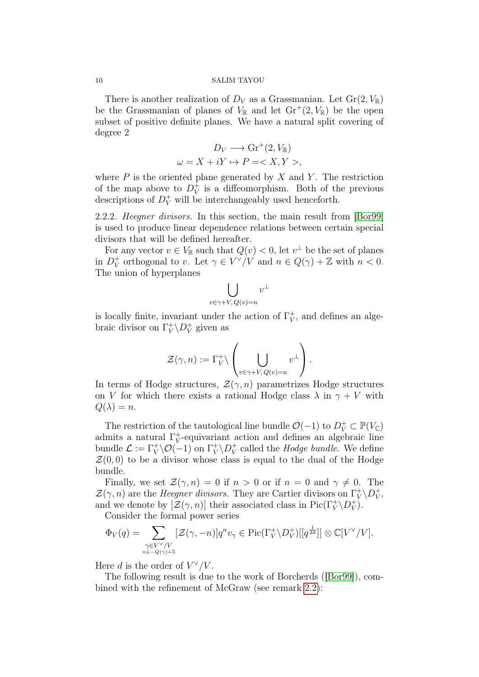There is another realization of  $D_V$  as a Grassmanian. Let  $\text{Gr}(2, V_{\mathbb{R}})$ be the Grassmanian of planes of  $V_{\mathbb{R}}$  and let  $\mathrm{Gr}^+(2, V_{\mathbb{R}})$  be the open subset of positive definite planes. We have a natural split covering of degree 2

$$
D_V \longrightarrow \text{Gr}^+(2, V_{\mathbb{R}})
$$
  

$$
\omega = X + iY \mapsto P = \langle X, Y \rangle,
$$

where  $P$  is the oriented plane generated by  $X$  and  $Y$ . The restriction of the map above to  $D_V^+$  $_V^+$  is a diffeomorphism. Both of the previous descriptions of  $D_V^+$  will be interchangeably used henceforth.

<span id="page-9-0"></span>2.2.2. Heegner divisors. In this section, the main result from [\[Bor99\]](#page-31-10) is used to produce linear dependence relations between certain special divisors that will be defined hereafter.

For any vector  $v \in V_{\mathbb{R}}$  such that  $Q(v) < 0$ , let  $v^{\perp}$  be the set of planes in  $D_V^+$ <sup>+</sup><sub>V</sub> orthogonal to v. Let  $\gamma \in V^{\vee}/V$  and  $n \in Q(\gamma) + \mathbb{Z}$  with  $n < 0$ . The union of hyperplanes

$$
\bigcup_{v \in \gamma + V, Q(v) = n} v^{\perp}
$$

is locally finite, invariant under the action of  $\Gamma_V^+$  $_V^+$ , and defines an algebraic divisor on  $\Gamma_V^+$  $V^+ \backslash D_V^+$  $_V^+$  given as

$$
\mathcal{Z}(\gamma,n):=\Gamma^+_V\backslash\left(\bigcup_{v\in\gamma+V,\,Q(v)=n}v^\perp\right).
$$

In terms of Hodge structures,  $\mathcal{Z}(\gamma,n)$  parametrizes Hodge structures on V for which there exists a rational Hodge class  $\lambda$  in  $\gamma + V$  with  $Q(\lambda)=n$ .

The restriction of the tautological line bundle  $\mathcal{O}(-1)$  to  $D_V^+ \subset \mathbb{P}(V_{\mathbb{C}})$ admits a natural  $\Gamma_V^+$ V -equivariant action and defines an algebraic line bundle  $\mathcal{L} := \Gamma_V^+ \backslash \mathcal{O}(-1)$  on  $\Gamma_V^+$  $V^+ \backslash D_V^+$  $_V^+$  called the *Hodge bundle*. We define  $\mathcal{Z}(0,0)$  to be a divisor whose class is equal to the dual of the Hodge bundle.

Finally, we set  $\mathcal{Z}(\gamma,n) = 0$  if  $n > 0$  or if  $n = 0$  and  $\gamma \neq 0$ . The  $\mathcal{Z}(\gamma,n)$  are the *Heegner divisors*. They are Cartier divisors on  $\Gamma_V^+$  $V^+ \backslash D^+_V$  $_V^+,\,$ and we denote by  $[\mathcal{Z}(\gamma,n)]$  their associated class in  $\mathrm{Pic}(\Gamma^+_V\backslash D^+_V)$  $(v^+)$ .

Consider the formal power series

$$
\Phi_V(q) = \sum_{\substack{\gamma \in V^\vee / V \\ n \in -Q(\gamma) + \mathbb{Z}}} [\mathcal{Z}(\gamma, -n)] q^n v_\gamma \in \mathrm{Pic}(\Gamma_V^+ \backslash D_V^+)[[q^{\frac{1}{2d}}]] \otimes \mathbb{C}[V^\vee / V].
$$

Here d is the order of  $V^{\vee}/V$ .

The following result is due to the work of Borcherds ([\[Bor99\]](#page-31-10)), com-bined with the refinement of McGraw (see remark [2.2\)](#page-7-2):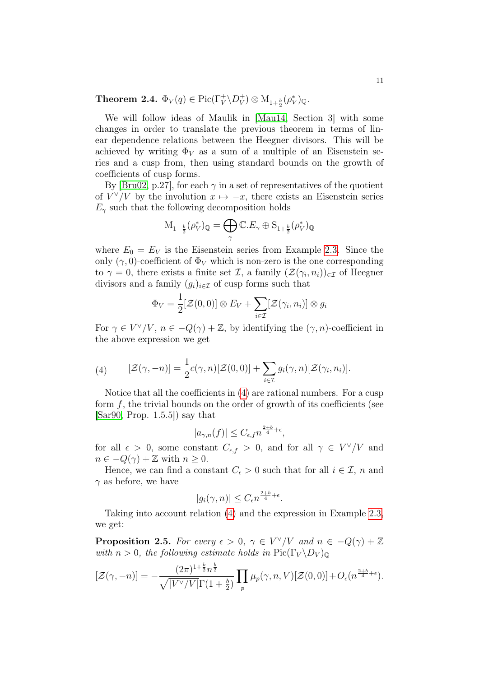Theorem 2.4.  $\Phi_V(q) \in \mathrm{Pic}(\Gamma_V^+ \backslash D_V^+)$  $V(V) \otimes M_{1+\frac{b}{2}}(\rho_V^*)_{\mathbb{Q}}.$ 

We will follow ideas of Maulik in [\[Mau14,](#page-32-6) Section 3] with some changes in order to translate the previous theorem in terms of linear dependence relations between the Heegner divisors. This will be achieved by writing  $\Phi_V$  as a sum of a multiple of an Eisenstein series and a cusp from, then using standard bounds on the growth of coefficients of cusp forms.

By [\[Bru02,](#page-31-13) p.27], for each  $\gamma$  in a set of representatives of the quotient of  $V^{\vee}/V$  by the involution  $x \mapsto -x$ , there exists an Eisenstein series  $E_{\gamma}$  such that the following decomposition holds

$$
\mathcal{M}_{1+\frac{b}{2}}(\rho_V^*)_\mathbb{Q}=\bigoplus_\gamma \mathbb{C}.E_\gamma\oplus \mathcal{S}_{1+\frac{b}{2}}(\rho_V^*)_\mathbb{Q}
$$

where  $E_0 = E_V$  is the Eisenstein series from Example [2.3.](#page-7-0) Since the only  $(\gamma, 0)$ -coefficient of  $\Phi_V$  which is non-zero is the one corresponding to  $\gamma = 0$ , there exists a finite set  $\mathcal{I}$ , a family  $(\mathcal{Z}(\gamma_i, n_i))_{i \in \mathcal{I}}$  of Heegner divisors and a family  $(g_i)_{i\in\mathcal{I}}$  of cusp forms such that

$$
\Phi_V = \frac{1}{2} [\mathcal{Z}(0,0)] \otimes E_V + \sum_{i \in \mathcal{I}} [\mathcal{Z}(\gamma_i,n_i)] \otimes g_i
$$

For  $\gamma \in V^{\vee}/V$ ,  $n \in -Q(\gamma) + \mathbb{Z}$ , by identifying the  $(\gamma, n)$ -coefficient in the above expression we get

<span id="page-10-0"></span>(4) 
$$
[\mathcal{Z}(\gamma,-n)] = \frac{1}{2}c(\gamma,n)[\mathcal{Z}(0,0)] + \sum_{i \in \mathcal{I}} g_i(\gamma,n)[\mathcal{Z}(\gamma_i,n_i)].
$$

Notice that all the coefficients in [\(4\)](#page-10-0) are rational numbers. For a cusp form  $f$ , the trivial bounds on the order of growth of its coefficients (see  $[Sar90, Prop. 1.5.5]$  $[Sar90, Prop. 1.5.5]$  say that

$$
|a_{\gamma,n}(f)| \leq C_{\epsilon,f} n^{\frac{2+b}{4}+\epsilon},
$$

for all  $\epsilon > 0$ , some constant  $C_{\epsilon,f} > 0$ , and for all  $\gamma \in V^{\vee}/V$  and  $n \in -Q(\gamma) + \mathbb{Z}$  with  $n \geq 0$ .

Hence, we can find a constant  $C_{\epsilon} > 0$  such that for all  $i \in \mathcal{I}$ , n and  $\gamma$  as before, we have

$$
|g_i(\gamma, n)| \le C_{\epsilon} n^{\frac{2+b}{4} + \epsilon}.
$$

Taking into account relation [\(4\)](#page-10-0) and the expression in Example [2.3,](#page-7-0) we get:

<span id="page-10-1"></span>**Proposition 2.5.** For every  $\epsilon > 0$ ,  $\gamma \in V^{\vee}/V$  and  $n \in -Q(\gamma) + \mathbb{Z}$ with  $n > 0$ , the following estimate holds in  $Pic(\Gamma_V \backslash D_V)_{\mathbb{Q}}$ 

$$
[\mathcal{Z}(\gamma,-n)] = -\frac{(2\pi)^{1+\frac{b}{2}}n^{\frac{b}{2}}}{\sqrt{|V^{\vee}/V|}\Gamma(1+\frac{b}{2})}\prod_{p}\mu_p(\gamma,n,V)[\mathcal{Z}(0,0)] + O_{\epsilon}(n^{\frac{2+b}{4}+\epsilon}).
$$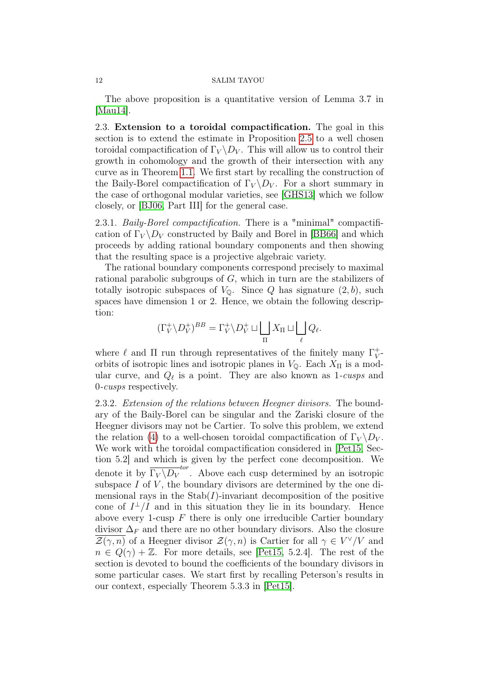The above proposition is a quantitative version of Lemma 3.7 in [\[Mau14\]](#page-32-6).

<span id="page-11-0"></span>2.3. Extension to a toroidal compactification. The goal in this section is to extend the estimate in Proposition [2.5](#page-10-1) to a well chosen toroidal compactification of  $\Gamma_V \backslash D_V$ . This will allow us to control their growth in cohomology and the growth of their intersection with any curve as in Theorem [1.1.](#page-2-0) We first start by recalling the construction of the Baily-Borel compactification of  $\Gamma_V \backslash D_V$ . For a short summary in the case of orthogonal modular varieties, see [\[GHS13\]](#page-31-14) which we follow closely, or [\[BJ06,](#page-30-4) Part III] for the general case.

2.3.1. *Baily-Borel compactification*. There is a "minimal" compactification of  $\Gamma_V \backslash D_V$  constructed by Baily and Borel in [\[BB66\]](#page-30-1) and which proceeds by adding rational boundary components and then showing that the resulting space is a projective algebraic variety.

The rational boundary components correspond precisely to maximal rational parabolic subgroups of G, which in turn are the stabilizers of totally isotropic subspaces of  $V_0$ . Since Q has signature  $(2, b)$ , such spaces have dimension 1 or 2. Hence, we obtain the following description:

$$
(\Gamma_V^+\backslash D_V^+)^{BB}=\Gamma_V^+\backslash D_V^+\sqcup\bigsqcup_\Pi X_\Pi\sqcup\bigsqcup_\ell Q_\ell.
$$

where  $\ell$  and  $\Pi$  run through representatives of the finitely many  $\Gamma_V^+$  $_V^+$ orbits of isotropic lines and isotropic planes in  $V_0$ . Each  $X_{\Pi}$  is a modular curve, and  $Q_{\ell}$  is a point. They are also known as 1-cusps and 0-cusps respectively.

2.3.2. Extension of the relations between Heegner divisors. The boundary of the Baily-Borel can be singular and the Zariski closure of the Heegner divisors may not be Cartier. To solve this problem, we extend the relation [\(4\)](#page-10-0) to a well-chosen toroidal compactification of  $\Gamma_V \backslash D_V$ . We work with the toroidal compactification considered in [\[Pet15,](#page-32-7) Section 5.2] and which is given by the perfect cone decomposition. We denote it by  $\overline{\Gamma_V \backslash D_V}^{tor}$ . Above each cusp determined by an isotropic subspace  $I$  of  $V$ , the boundary divisors are determined by the one dimensional rays in the  $\text{Stab}(I)$ -invariant decomposition of the positive cone of  $I^{\perp}/I$  and in this situation they lie in its boundary. Hence above every 1-cusp  $F$  there is only one irreducible Cartier boundary divisor  $\Delta_F$  and there are no other boundary divisors. Also the closure  $\overline{\mathcal{Z}(\gamma,n)}$  of a Heegner divisor  $\mathcal{Z}(\gamma,n)$  is Cartier for all  $\gamma \in V^{\vee}/V$  and  $n \in Q(\gamma) + \mathbb{Z}$ . For more details, see [\[Pet15,](#page-32-7) 5.2.4]. The rest of the section is devoted to bound the coefficients of the boundary divisors in some particular cases. We start first by recalling Peterson's results in our context, especially Theorem 5.3.3 in [\[Pet15\]](#page-32-7).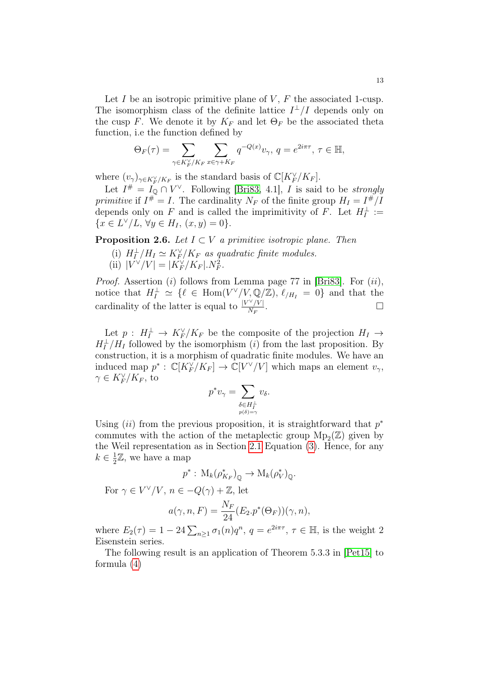Let I be an isotropic primitive plane of  $V, F$  the associated 1-cusp. The isomorphism class of the definite lattice  $I^{\perp}/I$  depends only on the cusp F. We denote it by  $K_F$  and let  $\Theta_F$  be the associated theta function, i.e the function defined by

$$
\Theta_F(\tau) = \sum_{\gamma \in K_F^{\vee}/K_F} \sum_{x \in \gamma + K_F} q^{-Q(x)} v_{\gamma}, \ q = e^{2i\pi\tau}, \ \tau \in \mathbb{H},
$$

where  $(v_\gamma)_{\gamma \in K_F^\vee/K_F}$  is the standard basis of  $\mathbb{C}[K_F^\vee/K_F]$ .

Let  $I^{\#} = I_{\mathbb{Q}} \cap V^{\vee}$ . Following [\[Bri83,](#page-31-15) 4.1], I is said to be strongly primitive if  $I^* = I$ . The cardinality  $N_F$  of the finite group  $H_I = I^*/I$ depends only on F and is called the imprimitivity of F. Let  $H_I^{\perp} :=$  ${x \in L^{\vee}/L, \forall y \in H_I, (x, y) = 0}.$ 

<span id="page-12-0"></span>**Proposition 2.6.** Let  $I \subset V$  a primitive isotropic plane. Then

- (i)  $H_I^{\perp}/H_I \simeq K_F^{\vee}/K_F$  as quadratic finite modules.
- (ii)  $|V^{\vee}/V| = |K_F^{\vee}/K_F|. N_F^2$ .

*Proof.* Assertion (i) follows from Lemma page 77 in [\[Bri83\]](#page-31-15). For  $(ii)$ , notice that  $H_I^{\perp} \simeq {\ell \in Hom(V^{\vee}/V, \mathbb{Q}/\mathbb{Z})}$ ,  $\ell_{/H_I} = 0$  and that the cardinality of the latter is equal to  $\frac{|V^{\vee}/V|}{N_E}$  $\frac{N}{N_F}$ .

Let  $p: H_I^{\perp} \to K_F^{\vee}/K_F$  be the composite of the projection  $H_I \to$  $H_I^{\perp}/H_I$  followed by the isomorphism (*i*) from the last proposition. By construction, it is a morphism of quadratic finite modules. We have an induced map  $p^* : \mathbb{C}[K_F^{\vee}/K_F] \to \mathbb{C}[V^{\vee}/V]$  which maps an element  $v_{\gamma}$ ,  $\gamma \in K_F^\vee/K_F$ , to

$$
p^*v_\gamma = \sum_{\substack{\delta \in H_I^\perp\\p(\delta)=\gamma}} v_\delta.
$$

Using  $(ii)$  from the previous proposition, it is straightforward that  $p^*$ commutes with the action of the metaplectic group  $Mp_2(\mathbb{Z})$  given by the Weil representation as in Section [2.1](#page-6-2) Equation [\(3\)](#page-7-3). Hence, for any  $k \in \frac{1}{2}$  $\frac{1}{2}\mathbb{Z}$ , we have a map

$$
p^* : M_k(\rho_{K_F}^*)_{\mathbb{Q}} \to M_k(\rho_V^*)_{\mathbb{Q}}.
$$

For  $\gamma \in V^{\vee}/V$ ,  $n \in -Q(\gamma) + \mathbb{Z}$ , let

$$
a(\gamma, n, F) = \frac{N_F}{24} (E_2.p^*(\Theta_F))(\gamma, n),
$$

where  $E_2(\tau) = 1 - 24 \sum_{n \geq 1} \sigma_1(n) q^n$ ,  $q = e^{2i\pi\tau}$ ,  $\tau \in \mathbb{H}$ , is the weight 2 Eisenstein series.

The following result is an application of Theorem 5.3.3 in [\[Pet15\]](#page-32-7) to formula [\(4\)](#page-10-0)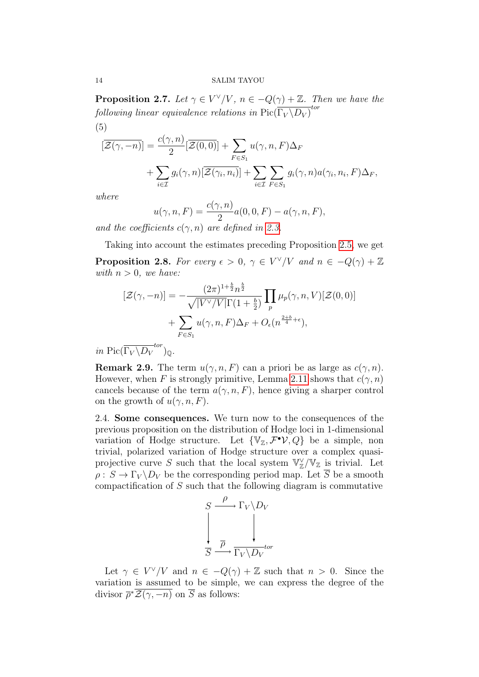**Proposition 2.7.** Let  $\gamma \in V^{\vee}/V$ ,  $n \in -Q(\gamma) + \mathbb{Z}$ . Then we have the following linear equivalence relations in  ${\rm Pic}(\overline{\Gamma_V \backslash D_V)}^{tor}$ (5)

$$
[\overline{\mathcal{Z}(\gamma,-n)}] = \frac{c(\gamma,n)}{2} [\overline{\mathcal{Z}(0,0)}] + \sum_{F \in S_1} u(\gamma,n,F)\Delta_F
$$
  
+ 
$$
\sum_{i \in \mathcal{I}} g_i(\gamma,n) [\overline{\mathcal{Z}(\gamma_i,n_i)}] + \sum_{i \in \mathcal{I}} \sum_{F \in S_1} g_i(\gamma,n) a(\gamma_i,n_i,F)\Delta_F,
$$

where

$$
u(\gamma, n, F) = \frac{c(\gamma, n)}{2} a(0, 0, F) - a(\gamma, n, F),
$$

and the coefficients  $c(\gamma, n)$  are defined in [2.3.](#page-7-0)

<span id="page-13-1"></span>Taking into account the estimates preceding Proposition [2.5,](#page-10-1) we get **Proposition 2.8.** For every  $\epsilon > 0$ ,  $\gamma \in V^{\vee}/V$  and  $n \in -Q(\gamma) + \mathbb{Z}$ with  $n > 0$ , we have:

$$
[\mathcal{Z}(\gamma, -n)] = -\frac{(2\pi)^{1+\frac{b}{2}}n^{\frac{b}{2}}}{\sqrt{|V^{\vee}/V|}\Gamma(1+\frac{b}{2})} \prod_{p} \mu_p(\gamma, n, V) [\mathcal{Z}(0, 0)] + \sum_{F \in S_1} u(\gamma, n, F) \Delta_F + O_{\epsilon}(n^{\frac{2+b}{4}+\epsilon}),
$$

in Pic( $\overline{\Gamma_V \backslash D_V}^{tor}$ )<sub>Q</sub>.

**Remark 2.9.** The term  $u(\gamma, n, F)$  can a priori be as large as  $c(\gamma, n)$ . However, when F is strongly primitive, Lemma [2.11](#page-14-0) shows that  $c(\gamma, n)$ cancels because of the term  $a(\gamma, n, F)$ , hence giving a sharper control on the growth of  $u(\gamma, n, F)$ .

<span id="page-13-0"></span>2.4. Some consequences. We turn now to the consequences of the previous proposition on the distribution of Hodge loci in 1-dimensional variation of Hodge structure. Let  $\{V_z, \mathcal{F}^{\bullet} \mathcal{V}, Q\}$  be a simple, non trivial, polarized variation of Hodge structure over a complex quasiprojective curve S such that the local system  $\mathbb{V}_\mathbb{Z}^\vee/\mathbb{V}_\mathbb{Z}$  is trivial. Let  $\rho: S \to \Gamma_V \backslash D_V$  be the corresponding period map. Let  $\overline{S}$  be a smooth compactification of S such that the following diagram is commutative

$$
S \xrightarrow{\rho} \Gamma_V \backslash D_V
$$
  
\n
$$
\downarrow \qquad \qquad \downarrow
$$
  
\n
$$
\overline{S} \xrightarrow{\overline{\rho}} \overline{\Gamma_V \backslash D_V}^{tor}
$$

Let  $\gamma \in V^{\vee}/V$  and  $n \in -Q(\gamma) + \mathbb{Z}$  such that  $n > 0$ . Since the variation is assumed to be simple, we can express the degree of the divisor  $\overline{\rho}^* \overline{\mathcal{Z}(\gamma,-n)}$  on  $\overline{S}$  as follows: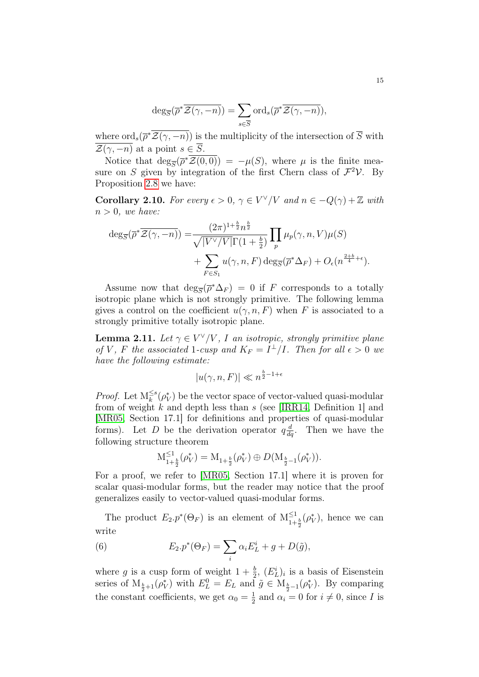$$
\deg_{\overline{S}}(\overline{\rho}^*\overline{\mathcal{Z}(\gamma,-n)}) = \sum_{s \in \overline{S}} \text{ord}_s(\overline{\rho}^*\overline{\mathcal{Z}(\gamma,-n)}),
$$

where  $\text{ord}_s(\overline{\rho}^*\overline{\mathcal{Z}(\gamma,-n)})$  is the multiplicity of the intersection of  $\overline{S}$  with  $\overline{\mathcal{Z}(\gamma,-n)}$  at a point  $s \in \overline{S}$ .

Notice that  $\deg_{\overline{S}}(\overline{\rho}^*\overline{\mathcal{Z}(0,0)}) = -\mu(S)$ , where  $\mu$  is the finite measure on S given by integration of the first Chern class of  $\mathcal{F}^2 \mathcal{V}$ . By Proposition [2.8](#page-13-1) we have:

<span id="page-14-2"></span>**Corollary 2.10.** For every  $\epsilon > 0$ ,  $\gamma \in V^{\vee}/V$  and  $n \in -Q(\gamma) + \mathbb{Z}$  with  $n > 0$ , we have:

$$
\deg_{\overline{S}}(\overline{\rho}^*\overline{\mathcal{Z}(\gamma,-n)}) = \frac{(2\pi)^{1+\frac{b}{2}}n^{\frac{b}{2}}}{\sqrt{|V^{\vee}/V|}\Gamma(1+\frac{b}{2})} \prod_p \mu_p(\gamma,n,V)\mu(S) + \sum_{F \in S_1} u(\gamma,n,F) \deg_{\overline{S}}(\overline{\rho}^*\Delta_F) + O_{\epsilon}(n^{\frac{2+b}{4}+\epsilon}).
$$

Assume now that  $\deg_{\overline{S}}(\overline{\rho}^*\Delta_F) = 0$  if F corresponds to a totally isotropic plane which is not strongly primitive. The following lemma gives a control on the coefficient  $u(\gamma, n, F)$  when F is associated to a strongly primitive totally isotropic plane.

<span id="page-14-0"></span>**Lemma 2.11.** Let  $\gamma \in V^{\vee}/V$ , I an isotropic, strongly primitive plane of V, F the associated 1-cusp and  $K_F = I^{\perp}/I$ . Then for all  $\epsilon > 0$  we have the following estimate:

$$
|u(\gamma, n, F)| \ll n^{\frac{b}{2} - 1 + \epsilon}
$$

*Proof.* Let  $M_k^{\leq s}$  $\frac{\leq s}{k}(\rho_V^*)$  be the vector space of vector-valued quasi-modular from of weight k and depth less than s (see [\[IRR14,](#page-32-13) Definition 1] and [\[MR05,](#page-32-14) Section 17.1] for definitions and properties of quasi-modular forms). Let D be the derivation operator  $q\frac{d}{dq}$ . Then we have the following structure theorem

$$
\mathcal{M}_{1+\frac{b}{2}}^{\leq 1}(\rho_V^*) = \mathcal{M}_{1+\frac{b}{2}}(\rho_V^*) \oplus D(\mathcal{M}_{\frac{b}{2}-1}(\rho_V^*)).
$$

For a proof, we refer to [\[MR05,](#page-32-14) Section 17.1] where it is proven for scalar quasi-modular forms, but the reader may notice that the proof generalizes easily to vector-valued quasi-modular forms.

The product  $E_2 \cdot p^*(\Theta_F)$  is an element of  $M_{1+}^{\leq 1}$  $\frac{\leq 1}{1+\frac{b}{2}}(\rho_V^*),$  hence we can write

<span id="page-14-1"></span>(6) 
$$
E_2.p^*(\Theta_F) = \sum_i \alpha_i E_L^i + g + D(\tilde{g}),
$$

where g is a cusp form of weight  $1 + \frac{b}{2}$ ,  $(E_L^i)_i$  is a basis of Eisenstein series of  $M_{\frac{b}{2}+1}(\rho_V^*)$  with  $E_L^0 = E_L$  and  $\tilde{g} \in M_{\frac{b}{2}-1}(\rho_V^*)$ . By comparing the constant coefficients, we get  $\alpha_0 = \frac{1}{2}$  $\frac{1}{2}$  and  $\alpha_i = 0$  for  $i \neq 0$ , since I is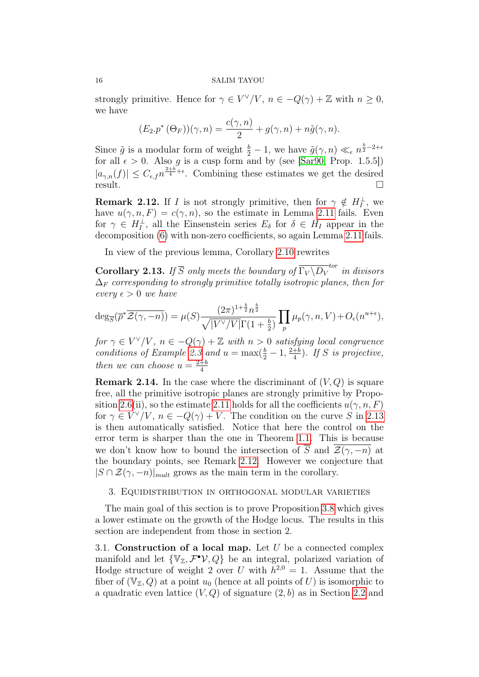strongly primitive. Hence for  $\gamma \in V^{\vee}/V$ ,  $n \in -Q(\gamma) + \mathbb{Z}$  with  $n \geq 0$ , we have

$$
(E_2 \cdot p^* (\Theta_F))(\gamma, n) = \frac{c(\gamma, n)}{2} + g(\gamma, n) + n\tilde{g}(\gamma, n).
$$

Since  $\tilde{g}$  is a modular form of weight  $\frac{b}{2} - 1$ , we have  $\tilde{g}(\gamma, n) \ll_{\epsilon} n^{\frac{b}{2} - 2 + \epsilon}$ for all  $\epsilon > 0$ . Also g is a cusp form and by (see [\[Sar90,](#page-32-12) Prop. 1.5.5])  $|a_{\gamma,n}(f)| \leq C_{\epsilon,f} n^{\frac{2+b}{4}+\epsilon}$ . Combining these estimates we get the desired result.

<span id="page-15-3"></span>**Remark 2.12.** If *I* is not strongly primitive, then for  $\gamma \notin H_I^{\perp}$ , we have  $u(\gamma, n, F) = c(\gamma, n)$ , so the estimate in Lemma [2.11](#page-14-0) fails. Even for  $\gamma \in H_I^{\perp}$ , all the Einsenstein series  $E_{\delta}$  for  $\delta \in H_I$  appear in the decomposition [\(6\)](#page-14-1) with non-zero coefficients, so again Lemma [2.11](#page-14-0) fails.

In view of the previous lemma, Corollary [2.10](#page-14-2) rewrites

<span id="page-15-2"></span>**Corollary 2.13.** If  $\overline{S}$  only meets the boundary of  $\overline{\Gamma_V \backslash D_V}^{tor}$  in divisors  $\Delta_F$  corresponding to strongly primitive totally isotropic planes, then for every  $\epsilon > 0$  we have

$$
\deg_{\overline{S}}(\overline{\rho}^*\overline{\mathcal{Z}(\gamma,-n)}) = \mu(S) \frac{(2\pi)^{1+\frac{b}{2}} n^{\frac{b}{2}}}{\sqrt{|V^{\vee}/V|} \Gamma(1+\frac{b}{2})} \prod_p \mu_p(\gamma,n,V) + O_{\epsilon}(n^{u+\epsilon}),
$$

for  $\gamma \in V^{\vee}/V$ ,  $n \in -Q(\gamma) + \mathbb{Z}$  with  $n > 0$  satisfying local congruence conditions of Example [2.3](#page-7-0) and  $u = \max(\frac{b}{2} - 1, \frac{2+b}{4})$  $\frac{+b}{4}$ ). If S is projective, then we can choose  $u = \frac{2+b}{4}$ 4

**Remark 2.14.** In the case where the discriminant of  $(V, Q)$  is square free, all the primitive isotropic planes are strongly primitive by Propo-sition [2.6\(](#page-12-0)ii), so the estimate [2.11](#page-14-0) holds for all the coefficients  $u(\gamma, n, F)$ for  $\gamma \in V^{\vee}/V$ ,  $n \in -Q(\gamma) + V$ . The condition on the curve S in [2.13](#page-15-2) is then automatically satisfied. Notice that here the control on the error term is sharper than the one in Theorem [1.1.](#page-2-0) This is because we don't know how to bound the intersection of  $\overline{S}$  and  $\mathcal{Z}(\gamma, -n)$  at the boundary points, see Remark [2.12.](#page-15-3) However we conjecture that  $|S \cap \mathcal{Z}(\gamma, -n)|_{mult}$  grows as the main term in the corollary.

## <span id="page-15-0"></span>3. Equidistribution in orthogonal modular varieties

The main goal of this section is to prove Proposition [3.8](#page-22-0) which gives a lower estimate on the growth of the Hodge locus. The results in this section are independent from those in section 2.

<span id="page-15-1"></span>3.1. Construction of a local map. Let  $U$  be a connected complex manifold and let  $\{V_z, \mathcal{F}^{\bullet}V, Q\}$  be an integral, polarized variation of Hodge structure of weight 2 over U with  $h^{2,0} = 1$ . Assume that the fiber of  $(\mathbb{V}_\mathbb{Z}, Q)$  at a point  $u_0$  (hence at all points of U) is isomorphic to a quadratic even lattice  $(V, Q)$  of signature  $(2, b)$  as in Section [2.2](#page-8-0) and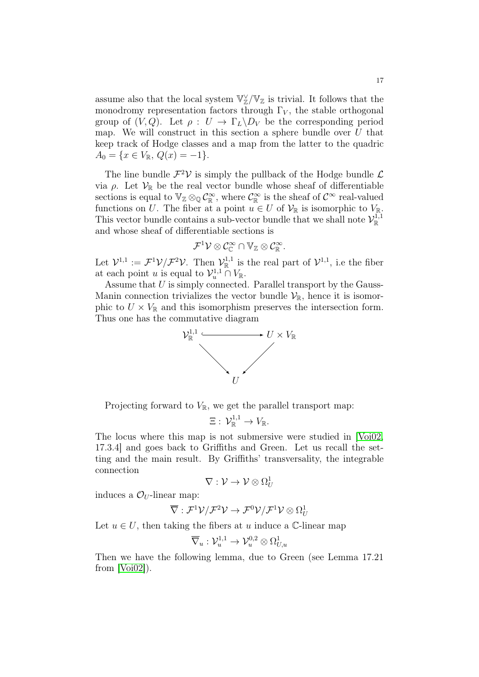assume also that the local system  $\mathbb{V}_\mathbb{Z}^\vee/\mathbb{V}_\mathbb{Z}$  is trivial. It follows that the monodromy representation factors through  $\Gamma_V$ , the stable orthogonal group of  $(V, Q)$ . Let  $\rho: U \to \Gamma_L \backslash D_V$  be the corresponding period map. We will construct in this section a sphere bundle over  $U$  that keep track of Hodge classes and a map from the latter to the quadric  $A_0 = \{x \in V_{\mathbb{R}}, Q(x) = -1\}.$ 

The line bundle  $\mathcal{F}^2 \mathcal{V}$  is simply the pullback of the Hodge bundle  $\mathcal{L}$ via ρ. Let  $V_{\mathbb{R}}$  be the real vector bundle whose sheaf of differentiable sections is equal to  $\mathbb{V}_{\mathbb{Z}} \otimes_{\mathbb{Q}} \mathcal{C}_{\mathbb{R}}^{\infty}$ , where  $\mathcal{C}_{\mathbb{R}}^{\infty}$  is the sheaf of  $\mathcal{C}^{\infty}$  real-valued functions on U. The fiber at a point  $u \in U$  of  $\mathcal{V}_{\mathbb{R}}$  is isomorphic to  $V_{\mathbb{R}}$ . This vector bundle contains a sub-vector bundle that we shall note  $\mathcal{V}_{\mathbb{R}}^{1,1}$ and whose sheaf of differentiable sections is

$$
\mathcal{F}^1\mathcal{V}\otimes\mathcal{C}^\infty_{\mathbb{C}}\cap\mathbb{V}_\mathbb{Z}\otimes\mathcal{C}^\infty_\mathbb{R}.
$$

Let  $\mathcal{V}^{1,1} := \mathcal{F}^1 \mathcal{V} / \mathcal{F}^2 \mathcal{V}$ . Then  $\mathcal{V}^{1,1}_{\mathbb{R}}$  is the real part of  $\mathcal{V}^{1,1}$ , i.e the fiber at each point u is equal to  $\mathcal{V}_u^{1,1} \cap V_{\mathbb{R}}$ .

Assume that  $U$  is simply connected. Parallel transport by the Gauss-Manin connection trivializes the vector bundle  $\mathcal{V}_{\mathbb{R}}$ , hence it is isomorphic to  $U \times V_{\mathbb{R}}$  and this isomorphism preserves the intersection form. Thus one has the commutative diagram



Projecting forward to  $V_{\mathbb{R}}$ , we get the parallel transport map:

$$
\Xi:\: \mathcal{V}^{1,1}_{\mathbb{R}} \to V_{\mathbb{R}}.
$$

The locus where this map is not submersive were studied in [\[Voi02,](#page-32-0) 17.3.4] and goes back to Griffiths and Green. Let us recall the setting and the main result. By Griffiths' transversality, the integrable connection

$$
\nabla: \mathcal{V} \to \mathcal{V} \otimes \Omega_U^1
$$

induces a  $\mathcal{O}_U$ -linear map:

$$
\overline{\nabla} : \mathcal{F}^1 \mathcal{V} / \mathcal{F}^2 \mathcal{V} \to \mathcal{F}^0 \mathcal{V} / \mathcal{F}^1 \mathcal{V} \otimes \Omega^1_U
$$

Let  $u \in U$ , then taking the fibers at u induce a C-linear map

$$
\overline{\nabla}_u:{\cal V}^{1,1}_u\to{\cal V}^{0,2}_u\otimes\Omega^1_{U,u}
$$

Then we have the following lemma, due to Green (see Lemma 17.21 from [\[Voi02\]](#page-32-0)).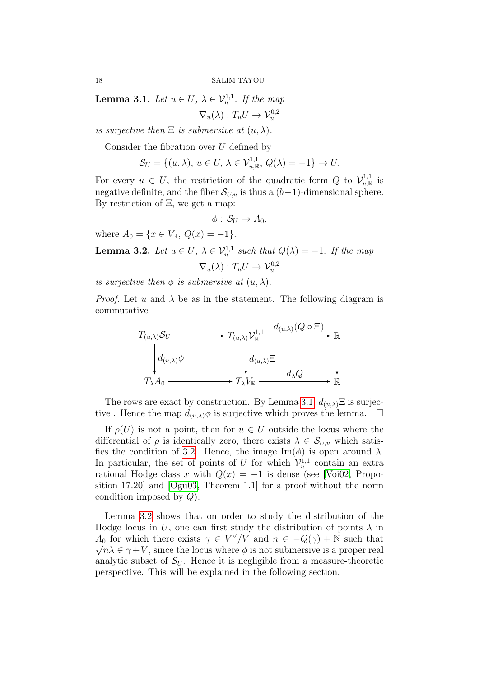<span id="page-17-0"></span>**Lemma 3.1.** Let  $u \in U$ ,  $\lambda \in V_u^{1,1}$ . If the map

$$
\overline{\nabla}_u(\lambda) : T_u U \to \mathcal{V}_u^{0,2}
$$

is surjective then  $\Xi$  is submersive at  $(u, \lambda)$ .

Consider the fibration over  $U$  defined by

$$
\mathcal{S}_U = \{(u, \lambda), u \in U, \lambda \in \mathcal{V}_{u, \mathbb{R}}^{1,1}, Q(\lambda) = -1\} \to U.
$$

For every  $u \in U$ , the restriction of the quadratic form Q to  $\mathcal{V}_{u,\mathbb{R}}^{1,1}$  is negative definite, and the fiber  $S_{U,u}$  is thus a  $(b-1)$ -dimensional sphere. By restriction of  $\Xi$ , we get a map:

$$
\phi: \mathcal{S}_U \to A_0,
$$

where  $A_0 = \{x \in V_{\mathbb{R}}, Q(x) = -1\}.$ 

<span id="page-17-1"></span>**Lemma 3.2.** Let  $u \in U$ ,  $\lambda \in V_u^{1,1}$  such that  $Q(\lambda) = -1$ . If the map  $\overline{\nabla}_u(\lambda) : T_u U \to \mathcal{V}_u^{0,2}$ 

is surjective then  $\phi$  is submersive at  $(u, \lambda)$ .

*Proof.* Let u and  $\lambda$  be as in the statement. The following diagram is commutative

$$
T_{(u,\lambda)}S_U \longrightarrow T_{(u,\lambda)}\mathcal{V}_{\mathbb{R}}^{1,1} \xrightarrow{d_{(u,\lambda)}(Q \circ \Xi)} \mathbb{R}
$$
  
\n
$$
d_{(u,\lambda)}\phi \qquad \qquad d_{(u,\lambda)}\Xi \qquad \qquad \downarrow
$$
  
\n
$$
T_{\lambda}A_0 \longrightarrow T_{\lambda}V_{\mathbb{R}} \longrightarrow T_{\lambda}V_{\mathbb{R}} \longrightarrow \mathbb{R}
$$

The rows are exact by construction. By Lemma [3.1,](#page-17-0)  $d(u,\lambda) \equiv$  is surjective. Hence the map  $d_{(u,\lambda)}\phi$  is surjective which proves the lemma.  $\square$ 

If  $\rho(U)$  is not a point, then for  $u \in U$  outside the locus where the differential of  $\rho$  is identically zero, there exists  $\lambda \in \mathcal{S}_{U,u}$  which satis-fies the condition of [3.2.](#page-17-1) Hence, the image  $\text{Im}(\phi)$  is open around  $\lambda$ . In particular, the set of points of U for which  $\mathcal{V}_u^{1,1}$  contain an extra rational Hodge class x with  $Q(x) = -1$  is dense (see [\[Voi02,](#page-32-0) Proposition 17.20] and [\[Ogu03,](#page-32-1) Theorem 1.1] for a proof without the norm condition imposed by Q).

Lemma [3.2](#page-17-1) shows that on order to study the distribution of the Hodge locus in U, one can first study the distribution of points  $\lambda$  in  $A_0$  for which there exists  $\gamma \in V^{\vee}/V$  and  $n \in -Q(\gamma) + \mathbb{N}$  such that  $\sqrt{n}\lambda \in \gamma + V$ , since the locus where  $\phi$  is not submersive is a proper real analytic subset of  $S_U$ . Hence it is negligible from a measure-theoretic perspective. This will be explained in the following section.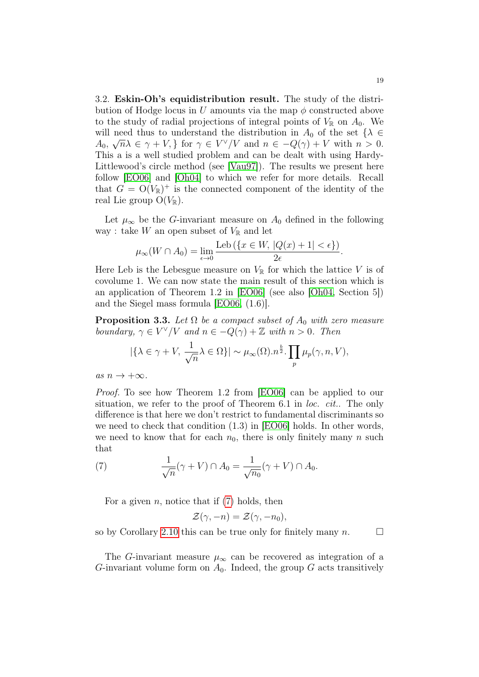<span id="page-18-0"></span>3.2. Eskin-Oh's equidistribution result. The study of the distribution of Hodge locus in U amounts via the map  $\phi$  constructed above to the study of radial projections of integral points of  $V_{\mathbb{R}}$  on  $A_0$ . We will need thus to understand the distribution in  $A_0$  of the set  $\{\lambda \in$  $A_0, \sqrt{n}\lambda \in \gamma + V$ , for  $\gamma \in V^{\vee}/V$  and  $n \in -Q(\gamma) + V$  with  $n > 0$ . This a is a well studied problem and can be dealt with using Hardy-Littlewood's circle method (see [\[Vau97\]](#page-32-15)). The results we present here follow [\[EO06\]](#page-31-11) and [\[Oh04\]](#page-32-16) to which we refer for more details. Recall that  $G = O(V_{\mathbb{R}})^+$  is the connected component of the identity of the real Lie group  $O(V_{\mathbb{R}})$ .

Let  $\mu_{\infty}$  be the G-invariant measure on  $A_0$  defined in the following way : take W an open subset of  $V_{\mathbb{R}}$  and let

$$
\mu_{\infty}(W \cap A_0) = \lim_{\epsilon \to 0} \frac{\text{Leb}(\{x \in W, |Q(x) + 1| < \epsilon\})}{2\epsilon}.
$$

Here Leb is the Lebesgue measure on  $V_{\mathbb{R}}$  for which the lattice V is of covolume 1. We can now state the main result of this section which is an application of Theorem 1.2 in [\[EO06\]](#page-31-11) (see also [\[Oh04,](#page-32-16) Section 5]) and the Siegel mass formula [\[EO06,](#page-31-11) (1.6)].

**Proposition 3.3.** Let  $\Omega$  be a compact subset of  $A_0$  with zero measure boundary,  $\gamma \in V^{\vee}/V$  and  $n \in -Q(\gamma) + \mathbb{Z}$  with  $n > 0$ . Then

$$
|\{\lambda \in \gamma + V, \frac{1}{\sqrt{n}}\lambda \in \Omega\}| \sim \mu_{\infty}(\Omega) . n^{\frac{b}{2}} . \prod_{p} \mu_{p}(\gamma, n, V),
$$

as  $n \to +\infty$ .

Proof. To see how Theorem 1.2 from [\[EO06\]](#page-31-11) can be applied to our situation, we refer to the proof of Theorem 6.1 in *loc. cit.*. The only difference is that here we don't restrict to fundamental discriminants so we need to check that condition (1.3) in [\[EO06\]](#page-31-11) holds. In other words, we need to know that for each  $n_0$ , there is only finitely many n such that

<span id="page-18-1"></span>(7) 
$$
\frac{1}{\sqrt{n}}(\gamma + V) \cap A_0 = \frac{1}{\sqrt{n_0}}(\gamma + V) \cap A_0.
$$

For a given  $n$ , notice that if  $(7)$  holds, then

$$
\mathcal{Z}(\gamma, -n) = \mathcal{Z}(\gamma, -n_0),
$$

so by Corollary [2.10](#page-14-2) this can be true only for finitely many  $n$ .

The G-invariant measure  $\mu_{\infty}$  can be recovered as integration of a G-invariant volume form on  $A_0$ . Indeed, the group G acts transitively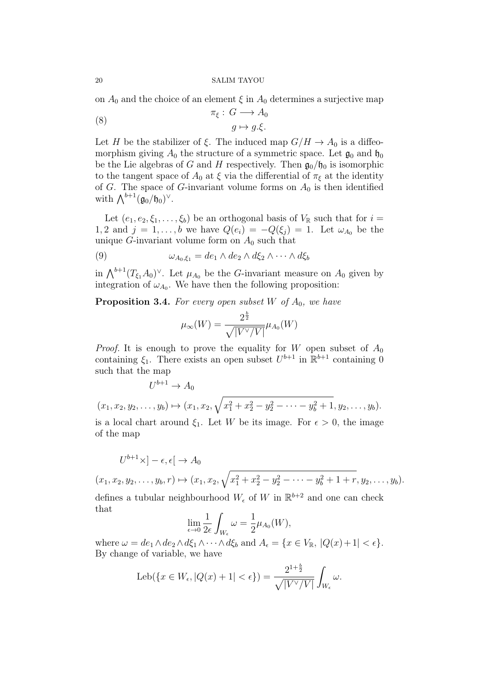on  $A_0$  and the choice of an element  $\xi$  in  $A_0$  determines a surjective map

<span id="page-19-0"></span>(8) 
$$
\pi_{\xi}: G \longrightarrow A_0
$$

$$
g \mapsto g.\xi.
$$

Let H be the stabilizer of  $\xi$ . The induced map  $G/H \to A_0$  is a diffeomorphism giving  $A_0$  the structure of a symmetric space. Let  $\mathfrak{g}_0$  and  $\mathfrak{h}_0$ be the Lie algebras of G and H respectively. Then  $\mathfrak{g}_0/\mathfrak{h}_0$  is isomorphic to the tangent space of  $A_0$  at  $\xi$  via the differential of  $\pi_{\xi}$  at the identity of G. The space of G-invariant volume forms on  $A_0$  is then identified with  $\bigwedge^{b+1}(\mathfrak{g}_0/\mathfrak{h}_0)^\vee$ .

Let  $(e_1, e_2, \xi_1, \ldots, \xi_b)$  be an orthogonal basis of  $V_{\mathbb{R}}$  such that for  $i =$ 1, 2 and  $j = 1, \ldots, b$  we have  $Q(e_i) = -Q(\xi_i) = 1$ . Let  $\omega_{A_0}$  be the unique G-invariant volume form on  $A_0$  such that

<span id="page-19-1"></span>(9) 
$$
\omega_{A_0,\xi_1} = de_1 \wedge de_2 \wedge d\xi_2 \wedge \cdots \wedge d\xi_b
$$

in  $\bigwedge^{b+1}(T_{\xi_1}A_0)^{\vee}$ . Let  $\mu_{A_0}$  be the *G*-invariant measure on  $A_0$  given by integration of  $\omega_{A_0}$ . We have then the following proposition:

**Proposition 3.4.** For every open subset W of  $A_0$ , we have

$$
\mu_\infty(W) = \frac{2^{\frac{b}{2}}}{\sqrt{|V^\vee/V|}} \mu_{A_0}(W)
$$

*Proof.* It is enough to prove the equality for W open subset of  $A_0$ containing  $\xi_1$ . There exists an open subset  $U^{b+1}$  in  $\mathbb{R}^{b+1}$  containing 0 such that the map

$$
U^{b+1} \to A_0
$$
  
(x<sub>1</sub>, x<sub>2</sub>, y<sub>2</sub>,..., y<sub>b</sub>)  $\mapsto$  (x<sub>1</sub>, x<sub>2</sub>,  $\sqrt{x_1^2 + x_2^2 - y_2^2 - \cdots - y_b^2 + 1}, y_2, \ldots, y_b).$ 

is a local chart around  $\xi_1$ . Let W be its image. For  $\epsilon > 0$ , the image of the map

$$
U^{b+1}\times ]-\epsilon,\epsilon[ \rightarrow A_0
$$

 $(x_1, x_2, y_2, \ldots, y_b, r) \mapsto (x_1, x_2, \sqrt{x_1^2 + x_2^2 - y_2^2 - \cdots - y_b^2 + 1 + r}, y_2, \ldots, y_b).$ 

defines a tubular neighbourhood  $W_{\epsilon}$  of W in  $\mathbb{R}^{b+2}$  and one can check that

$$
\lim_{\epsilon \to 0} \frac{1}{2\epsilon} \int_{W_{\epsilon}} \omega = \frac{1}{2} \mu_{A_0}(W),
$$

where  $\omega = de_1 \wedge de_2 \wedge d\xi_1 \wedge \cdots \wedge d\xi_b$  and  $A_{\epsilon} = \{x \in V_{\mathbb{R}}, |Q(x)+1| < \epsilon\}.$ By change of variable, we have

$$
\mathrm{Leb}(\{x \in W_{\epsilon}, |Q(x)+1| < \epsilon\}) = \frac{2^{1+\frac{b}{2}}}{\sqrt{|V^{\vee}/V|}} \int_{W_{\epsilon}} \omega.
$$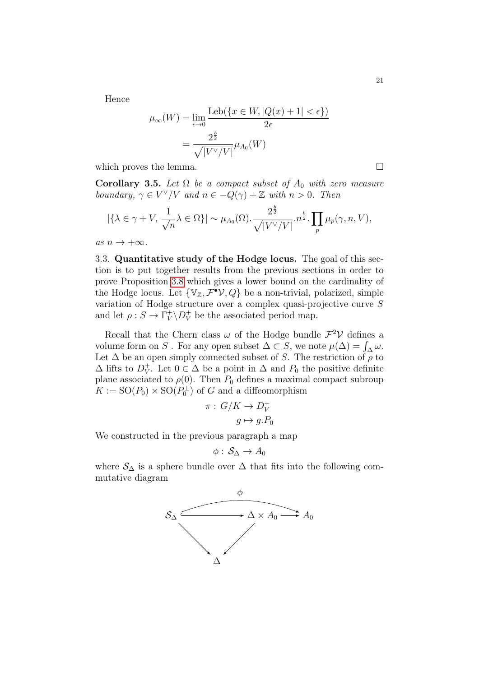Hence

$$
\mu_{\infty}(W) = \lim_{\epsilon \to 0} \frac{\text{Leb}(\{x \in W, |Q(x) + 1| < \epsilon\})}{2\epsilon}
$$
\n
$$
= \frac{2^{\frac{b}{2}}}{\sqrt{|V^{\vee}/V|}} \mu_{A_0}(W)
$$

which proves the lemma.  $\Box$ 

<span id="page-20-1"></span>**Corollary 3.5.** Let  $\Omega$  be a compact subset of  $A_0$  with zero measure boundary,  $\gamma \in V^{\vee}/V$  and  $n \in -\overline{Q}(\gamma) + \mathbb{Z}$  with  $n > 0$ . Then

$$
|\{\lambda \in \gamma + V, \frac{1}{\sqrt{n}}\lambda \in \Omega\}| \sim \mu_{A_0}(\Omega) \cdot \frac{2^{\frac{b}{2}}}{\sqrt{|V^{\vee}/V|}} \cdot n^{\frac{b}{2}} \cdot \prod_p \mu_p(\gamma, n, V),
$$

as  $n \to +\infty$ .

<span id="page-20-0"></span>3.3. Quantitative study of the Hodge locus. The goal of this section is to put together results from the previous sections in order to prove Proposition [3.8](#page-22-0) which gives a lower bound on the cardinality of the Hodge locus. Let  $\{V_z, \mathcal{F}^{\bullet}V, Q\}$  be a non-trivial, polarized, simple variation of Hodge structure over a complex quasi-projective curve S and let  $\rho: S \to \Gamma_V^+$  $V_V^+ \backslash D_V^+$  be the associated period map.

Recall that the Chern class  $\omega$  of the Hodge bundle  $\mathcal{F}^2 \mathcal{V}$  defines a volume form on S. For any open subset  $\Delta \subset S$ , we note  $\mu(\Delta) = \int_{\Delta} \omega$ . Let  $\Delta$  be an open simply connected subset of S. The restriction of  $\rho$  to  $\Delta$  lifts to  $D_V^+$  $_V^+$ . Let  $0 \in \Delta$  be a point in  $\Delta$  and  $P_0$  the positive definite plane associated to  $\rho(0)$ . Then  $P_0$  defines a maximal compact subroup  $K := SO(P_0) \times SO(P_0^{\perp})$  of G and a diffeomorphism

$$
\pi: G/K \to D_V^+
$$

$$
g \mapsto g.P_0
$$

We constructed in the previous paragraph a map

$$
\phi:\,\mathcal{S}_{\Delta}\rightarrow A_0
$$

where  $S_{\Delta}$  is a sphere bundle over  $\Delta$  that fits into the following commutative diagram

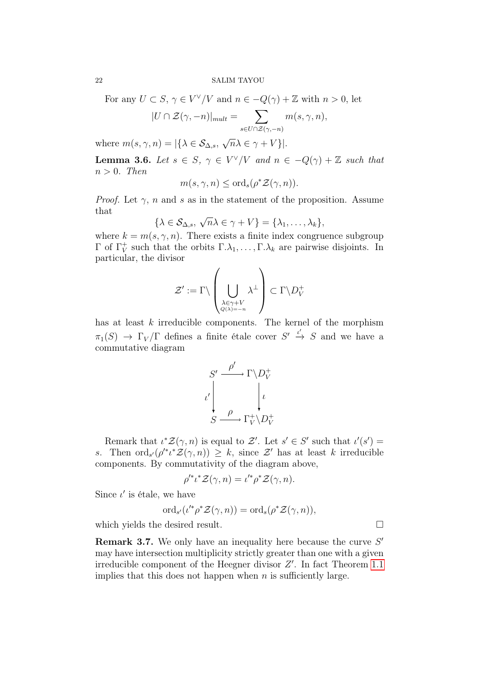For any  $U \subset S$ ,  $\gamma \in V^{\vee}/V$  and  $n \in -Q(\gamma) + \mathbb{Z}$  with  $n > 0$ , let

$$
|U \cap \mathcal{Z}(\gamma, -n)|_{mult} = \sum_{s \in U \cap \mathcal{Z}(\gamma, -n)} m(s, \gamma, n),
$$

where  $m(s, \gamma, n) = |\{\lambda \in \mathcal{S}_{\Delta, s},\}$  $\overline{n}\lambda \in \gamma + V$ }|.

<span id="page-21-0"></span>**Lemma 3.6.** Let  $s \in S$ ,  $\gamma \in V^{\vee}/V$  and  $n \in -Q(\gamma) + \mathbb{Z}$  such that  $n > 0$ . Then

$$
m(s, \gamma, n) \leq \text{ord}_{s}(\rho^* \mathcal{Z}(\gamma, n)).
$$

*Proof.* Let  $\gamma$ , n and s as in the statement of the proposition. Assume that √

$$
\{\lambda \in \mathcal{S}_{\Delta,s}, \sqrt{n}\lambda \in \gamma + V\} = \{\lambda_1, \ldots, \lambda_k\},\
$$

where  $k = m(s, \gamma, n)$ . There exists a finite index congruence subgroup  $Γ$  of  $Γ_V^+$ <sup>+</sup><sub>V</sub> such that the orbits  $\Gamma.\lambda_1,\ldots,\Gamma.\lambda_k$  are pairwise disjoints. In particular, the divisor

$$
\mathcal{Z}' := \Gamma \backslash \left(\bigcup_{\substack{\lambda \in \gamma + V \\ Q(\lambda) = -n}} \lambda^{\perp}\right) \subset \Gamma \backslash D^+_{V}
$$

has at least  $k$  irreducible components. The kernel of the morphism  $\pi_1(S) \to \Gamma_V/\Gamma$  defines a finite étale cover  $S' \stackrel{\iota'}{\to} S$  and we have a commutative diagram

$$
S' \xrightarrow{\rho'} \Gamma \backslash D_V^+
$$
  

$$
\iota' \downarrow \qquad \qquad \downarrow \iota
$$
  

$$
S \xrightarrow{\rho} \Gamma_V^+ \backslash D_V^+
$$

Remark that  $\iota^* \mathcal{Z}(\gamma, n)$  is equal to  $\mathcal{Z}'$ . Let  $s' \in S'$  such that  $\iota'(s') =$ s. Then  $\text{ord}_{s'}(\rho'^* \iota^* \mathcal{Z}(\gamma,n)) \geq k$ , since  $\mathcal{Z}'$  has at least k irreducible components. By commutativity of the diagram above,

$$
\rho'^*\iota^* \mathcal{Z}(\gamma,n) = \iota'^*\rho^* \mathcal{Z}(\gamma,n).
$$

Since  $\iota'$  is étale, we have

$$
\mathrm{ord}_{s'}(i'^*\rho^* \mathcal{Z}(\gamma,n)) = \mathrm{ord}_s(\rho^* \mathcal{Z}(\gamma,n)),
$$

which yields the desired result.  $\Box$ 

**Remark 3.7.** We only have an inequality here because the curve  $S'$ may have intersection multiplicity strictly greater than one with a given irreducible component of the Heegner divisor  $Z'$ . In fact Theorem [1.1](#page-2-0) implies that this does not happen when  $n$  is sufficiently large.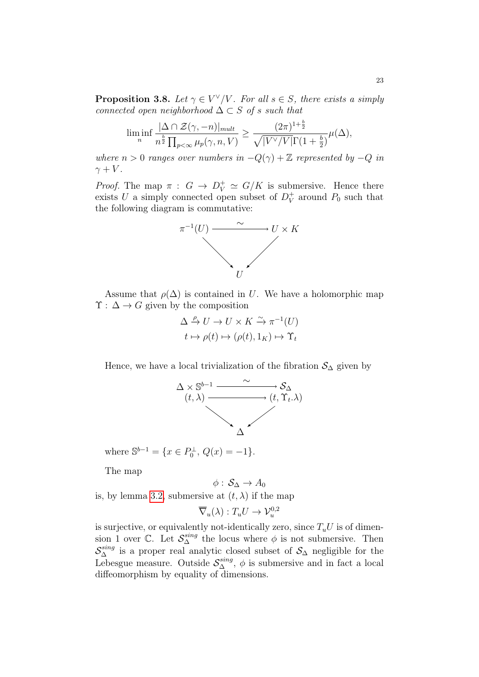<span id="page-22-0"></span>**Proposition 3.8.** Let  $\gamma \in V^{\vee}/V$ . For all  $s \in S$ , there exists a simply connected open neighborhood  $\Delta \subset S$  of s such that

$$
\liminf_{n} \frac{|\Delta \cap \mathcal{Z}(\gamma, -n)|_{mult}}{n^{\frac{b}{2}} \prod_{p < \infty} \mu_p(\gamma, n, V)} \ge \frac{(2\pi)^{1+\frac{b}{2}}}{\sqrt{|V^{\vee}/V|}\Gamma(1+\frac{b}{2})} \mu(\Delta),
$$

where  $n > 0$  ranges over numbers in  $-Q(\gamma) + \mathbb{Z}$  represented by  $-Q$  in  $\gamma + V$ .

*Proof.* The map  $\pi : G \to D_V^+ \simeq G/K$  is submersive. Hence there exists U a simply connected open subset of  $D_V^+$  $_V^+$  around  $P_0$  such that the following diagram is commutative:



Assume that  $\rho(\Delta)$  is contained in U. We have a holomorphic map  $\Upsilon : \Delta \to G$  given by the composition

$$
\Delta \xrightarrow{\rho} U \to U \times K \xrightarrow{\sim} \pi^{-1}(U)
$$
  

$$
t \mapsto \rho(t) \mapsto (\rho(t), 1_K) \mapsto \Upsilon_t
$$

Hence, we have a local trivialization of the fibration  $S_{\Delta}$  given by



where  $\mathbb{S}^{b-1} = \{x \in P_0^{\perp}, Q(x) = -1\}.$ 

The map

$$
\phi:\,\mathcal{S}_\Delta\rightarrow A_0
$$

is, by lemma [3.2,](#page-17-1) submersive at  $(t, \lambda)$  if the map

$$
\overline{\nabla}_u(\lambda) : T_u U \to \mathcal{V}_u^{0,2}
$$

is surjective, or equivalently not-identically zero, since  $T_uU$  is of dimension 1 over  $\mathbb{C}$ . Let  $\mathcal{S}_{\Delta}^{sing}$  the locus where  $\phi$  is not submersive. Then  $S_{\Delta}^{sing}$  is a proper real analytic closed subset of  $S_{\Delta}$  negligible for the Lebesgue measure. Outside  $S_{\Delta}^{sing}$ ,  $\phi$  is submersive and in fact a local diffeomorphism by equality of dimensions.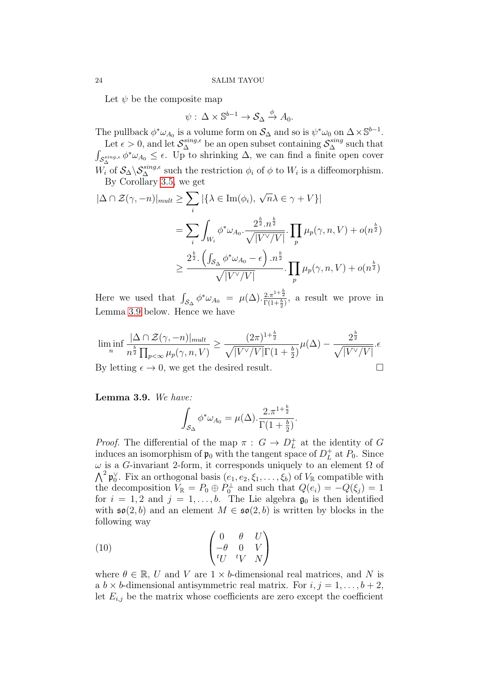Let  $\psi$  be the composite map

$$
\psi: \, \Delta \times \mathbb{S}^{b-1} \to \mathcal{S}_{\Delta} \xrightarrow{\phi} A_0.
$$

The pullback  $\phi^* \omega_{A_0}$  is a volume form on  $S_\Delta$  and so is  $\psi^* \omega_0$  on  $\Delta \times \mathbb{S}^{b-1}$ .

Let  $\epsilon > 0$ , and let  $\mathcal{S}_{\Delta}^{sing,\epsilon}$  be an open subset containing  $\mathcal{S}_{\Delta}^{sing}$  such that  $\int_{\mathcal{S}_{\Delta}^{sing,\epsilon}} \phi^* \omega_{A_0} \leq \epsilon$ . Up to shrinking  $\Delta$ , we can find a finite open cover  $W_i$  of  $S_{\Delta} \backslash S_{\Delta}^{sing,\epsilon}$  such the restriction  $\phi_i$  of  $\phi$  to  $W_i$  is a diffeomorphism. By Corollary [3.5,](#page-20-1) we get

$$
|\Delta \cap \mathcal{Z}(\gamma, -n)|_{mult} \geq \sum_{i} |\{\lambda \in \text{Im}(\phi_{i}), \sqrt{n}\lambda \in \gamma + V\}|
$$
  

$$
= \sum_{i} \int_{W_{i}} \phi^{*} \omega_{A_{0}} \cdot \frac{2^{\frac{b}{2}} \cdot n^{\frac{b}{2}}}{\sqrt{|V^{\vee}/V|}} \cdot \prod_{p} \mu_{p}(\gamma, n, V) + o(n^{\frac{b}{2}})
$$
  

$$
\geq \frac{2^{\frac{b}{2}} \cdot (\int_{\mathcal{S}_{\Delta}} \phi^{*} \omega_{A_{0}} - \epsilon) \cdot n^{\frac{b}{2}}}{\sqrt{|V^{\vee}/V|}} \cdot \prod_{p} \mu_{p}(\gamma, n, V) + o(n^{\frac{b}{2}})
$$

Here we used that  $\int_{\mathcal{S}_{\Delta}} \phi^* \omega_{A_0} = \mu(\Delta) \cdot \frac{2 \pi^{1+\frac{b}{2}}}{\Gamma(1+\frac{b}{2})}$ , a result we prove in Lemma [3.9](#page-23-0) below. Hence we have

$$
\liminf_{n} \frac{|\Delta \cap \mathcal{Z}(\gamma, -n)|_{mult}}{n^{\frac{b}{2}} \prod_{p < \infty} \mu_p(\gamma, n, V)} \ge \frac{(2\pi)^{1+\frac{b}{2}}}{\sqrt{|V^{\vee}/V|} \Gamma(1+\frac{b}{2})} \mu(\Delta) - \frac{2^{\frac{b}{2}}}{\sqrt{|V^{\vee}/V|}}. \epsilon
$$
  
By letting  $\epsilon \to 0$ , we get the desired result.

<span id="page-23-0"></span>Lemma 3.9. We have:

$$
\int_{\mathcal{S}_{\Delta}} \phi^* \omega_{A_0} = \mu(\Delta) \cdot \frac{2 \cdot \pi^{1 + \frac{b}{2}}}{\Gamma(1 + \frac{b}{2})}.
$$

*Proof.* The differential of the map  $\pi : G \to D_L^+$  $L<sup>+</sup>$  at the identity of G induces an isomorphism of  $\mathfrak{p}_0$  with the tangent space of  $D_L^+$  $L^+_L$  at  $P_0$ . Since ω is a G-invariant 2-form, it corresponds uniquely to an element Ω of  $\bigwedge^2 \mathfrak{p}_0^{\vee}$ . Fix an orthogonal basis  $(e_1, e_2, \xi_1, \ldots, \xi_b)$  of  $V_{\mathbb{R}}$  compatible with the decomposition  $V_{\mathbb{R}} = P_0 \oplus P_0^{\perp}$  and such that  $Q(e_i) = -Q(\xi_i) = 1$ for  $i = 1, 2$  and  $j = 1, \ldots, b$ . The Lie algebra  $\mathfrak{g}_0$  is then identified with  $\mathfrak{so}(2, b)$  and an element  $M \in \mathfrak{so}(2, b)$  is written by blocks in the following way

<span id="page-23-1"></span>
$$
(10) \qquad \qquad \begin{pmatrix} 0 & \theta & U \\ -\theta & 0 & V \\ tU & tV & N \end{pmatrix}
$$

where  $\theta \in \mathbb{R}$ , U and V are  $1 \times b$ -dimensional real matrices, and N is a  $b \times b$ -dimensional antisymmetric real matrix. For  $i, j = 1, \ldots, b + 2$ , let  $E_{i,j}$  be the matrix whose coefficients are zero except the coefficient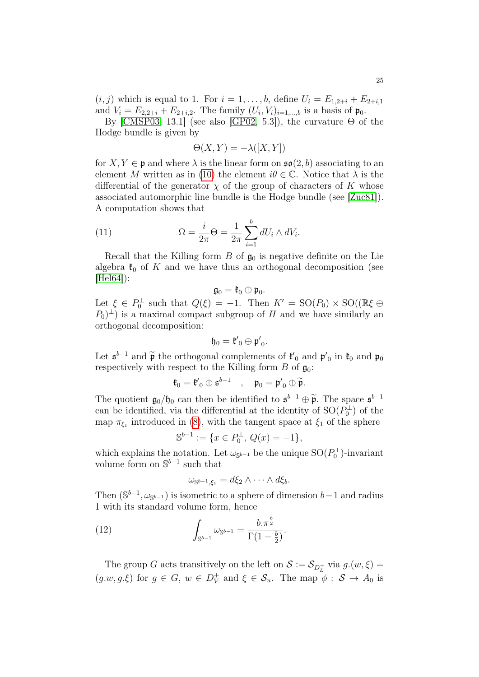$(i, j)$  which is equal to 1. For  $i = 1, ..., b$ , define  $U_i = E_{1,2+i} + E_{2+i,1}$ and  $V_i = E_{2,2+i} + E_{2+i,2}$ . The family  $(U_i, V_i)_{i=1,...,b}$  is a basis of  $\mathfrak{p}_0$ .

By [\[CMSP03,](#page-31-16) 13.1] (see also [\[GP02,](#page-31-17) 5.3]), the curvature  $\Theta$  of the Hodge bundle is given by

$$
\Theta(X, Y) = -\lambda([X, Y])
$$

for  $X, Y \in \mathfrak{p}$  and where  $\lambda$  is the linear form on  $\mathfrak{so}(2, b)$  associating to an element M written as in [\(10\)](#page-23-1) the element  $i\theta \in \mathbb{C}$ . Notice that  $\lambda$  is the differential of the generator  $\chi$  of the group of characters of K whose associated automorphic line bundle is the Hodge bundle (see [\[Zuc81\]](#page-32-17)). A computation shows that

<span id="page-24-0"></span>(11) 
$$
\Omega = \frac{i}{2\pi} \Theta = \frac{1}{2\pi} \sum_{i=1}^{b} dU_i \wedge dV_i.
$$

Recall that the Killing form  $B$  of  $\mathfrak{g}_0$  is negative definite on the Lie algebra  $\mathfrak{k}_0$  of K and we have thus an orthogonal decomposition (see  $|He[64]$ :

$$
\mathfrak{g}_0=\mathfrak{k}_0\oplus \mathfrak{p}_0.
$$

Let  $\xi \in P_0^{\perp}$  such that  $Q(\xi) = -1$ . Then  $K' = SO(P_0) \times SO((\mathbb{R}\xi \oplus$  $(P_0)^{\perp}$ ) is a maximal compact subgroup of H and we have similarly an orthogonal decomposition:

$$
\mathfrak{h}_0=\mathfrak{k'}_0\oplus\mathfrak{p'}_0.
$$

Let  $\mathfrak{s}^{b-1}$  and  $\widetilde{\mathfrak{p}}$  the orthogonal complements of  $\mathfrak{k}'_0$  and  $\mathfrak{p}'_0$  in  $\mathfrak{k}_0$  and  $\mathfrak{p}_0$ respectively with respect to the Killing form  $B$  of  $\mathfrak{g}_0$ :

$$
\mathfrak{k}_0=\mathfrak{k'}_0\oplus \mathfrak{s}^{b-1}\quad,\quad \mathfrak{p}_0=\mathfrak{p'}_0\oplus \widetilde{\mathfrak{p}}.
$$

The quotient  $\mathfrak{g}_0/\mathfrak{h}_0$  can then be identified to  $\mathfrak{s}^{b-1} \oplus \widetilde{\mathfrak{p}}$ . The space  $\mathfrak{s}^{b-1}$ can be identified, via the differential at the identity of  $SO(P_0^{\perp})$  of the map  $\pi_{\xi_1}$  introduced in [\(8\)](#page-19-0), with the tangent space at  $\xi_1$  of the sphere

$$
\mathbb{S}^{b-1} := \{ x \in P_0^{\perp}, \, Q(x) = -1 \},
$$

which explains the notation. Let  $\omega_{\mathbb{S}^{b-1}}$  be the unique  $\mathrm{SO}(P_0^{\perp})$ -invariant volume form on  $\mathbb{S}^{b-1}$  such that

$$
\omega_{\mathbb{S}^{b-1},\xi_1} = d\xi_2 \wedge \cdots \wedge d\xi_b.
$$

Then  $(\mathbb{S}^{b-1}, \omega_{\mathbb{S}^{b-1}})$  is isometric to a sphere of dimension  $b-1$  and radius 1 with its standard volume form, hence

<span id="page-24-1"></span>(12) 
$$
\int_{\mathbb{S}^{b-1}} \omega_{\mathbb{S}^{b-1}} = \frac{b \cdot \pi^{\frac{b}{2}}}{\Gamma(1+\frac{b}{2})}.
$$

The group G acts transitively on the left on  $S := \mathcal{S}_{D_L^+}$  via  $g.(w, \xi) =$  $(g.w, g.\xi)$  for  $g \in G$ ,  $w \in D_V^+$  $\gamma_V^+$  and  $\xi \in \mathcal{S}_u$ . The map  $\phi : \mathcal{S} \to A_0$  is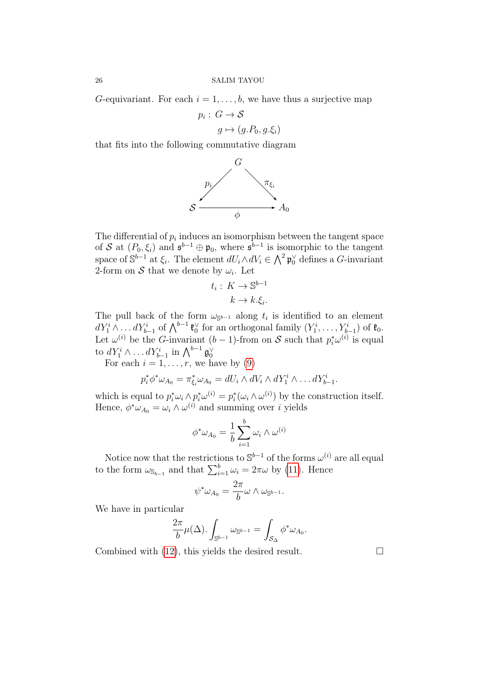G-equivariant. For each  $i = 1, \ldots, b$ , we have thus a surjective map

$$
p_i: G \to S
$$

$$
g \mapsto (g.P_0, g.\xi_i)
$$

that fits into the following commutative diagram



The differential of  $p_i$  induces an isomorphism between the tangent space of S at  $(P_0, \xi_i)$  and  $\mathfrak{s}^{b-1} \oplus \mathfrak{p}_0$ , where  $\mathfrak{s}^{b-1}$  is isomorphic to the tangent space of  $\mathbb{S}^{b-1}$  at  $\xi_i$ . The element  $dU_i \wedge dV_i \in \bigwedge^2 \mathfrak{p}_0^{\vee}$  defines a G-invariant 2-form on S that we denote by  $\omega_i$ . Let

$$
t_i: K \to \mathbb{S}^{b-1}
$$

$$
k \to k.\xi_i.
$$

The pull back of the form  $\omega_{\mathbb{S}^{b-1}}$  along  $t_i$  is identified to an element  $dY_1^i \wedge \ldots dY_{b-1}^i$  of  $\bigwedge^{b-1} \mathfrak{k}_0^{\vee}$  for an orthogonal family  $(Y_1^i, \ldots, Y_{b-1}^i)$  of  $\mathfrak{k}_0$ . Let  $\omega^{(i)}$  be the *G*-invariant  $(b-1)$ -from on *S* such that  $p_i^* \omega^{(i)}$  is equal to  $dY_1^i \wedge \ldots dY_{b-1}^i$  in  $\bigwedge^{b-1} \mathfrak{g}_0^{\vee}$ 

For each  $i = 1, \ldots, r$ , we have by [\(9\)](#page-19-1)

$$
p_i^* \phi^* \omega_{A_0} = \pi_{\xi_i}^* \omega_{A_0} = dU_i \wedge dV_i \wedge dY_1^i \wedge \dots dY_{b-1}^i.
$$

which is equal to  $p_i^* \omega_i \wedge p_i^* \omega^{(i)} = p_i^* (\omega_i \wedge \omega^{(i)})$  by the construction itself. Hence,  $\phi^* \omega_{A_0} = \omega_i \wedge \omega^{(i)}$  and summing over *i* yields

$$
\phi^* \omega_{A_0} = \frac{1}{b} \sum_{i=1}^b \omega_i \wedge \omega^{(i)}
$$

Notice now that the restrictions to  $\mathbb{S}^{b-1}$  of the forms  $\omega^{(i)}$  are all equal to the form  $\omega_{\mathbb{S}_{b-1}}$  and that  $\sum_{i=1}^{b} \omega_i = 2\pi\omega$  by [\(11\)](#page-24-0). Hence

$$
\psi^*\omega_{A_0}=\frac{2\pi}{b}\omega\wedge\omega_{\mathbb{S}^{b-1}}.
$$

We have in particular

$$
\frac{2\pi}{b}\mu(\Delta).\int_{\mathbb{S}^{b-1}}\omega_{\mathbb{S}^{b-1}}=\int_{\mathcal{S}_{\Delta}}\phi^*\omega_{A_0}.
$$

Combined with [\(12\)](#page-24-1), this yields the desired result.  $\Box$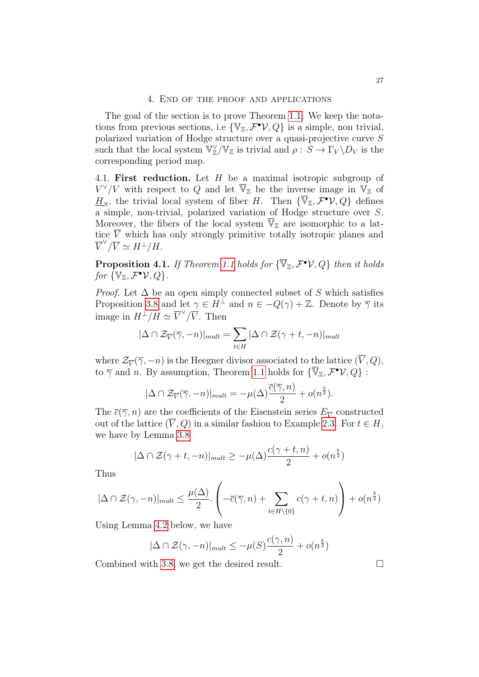<span id="page-26-0"></span>The goal of the section is to prove Theorem [1.1.](#page-2-0) We keep the notations from previous sections, i.e  $\{ \mathbb{V}_{\mathbb{Z}}, \mathcal{F}^{\bullet} \mathcal{V}, Q \}$  is a simple, non trivial, polarized variation of Hodge structure over a quasi-projective curve S such that the local system  $\overline{\mathbb{V}}_{\mathbb{Z}}^{\vee}/\mathbb{V}_{\mathbb{Z}}$  is trivial and  $\rho: S \to \Gamma_V \backslash D_V$  is the corresponding period map.

<span id="page-26-1"></span>4.1. First reduction. Let  $H$  be a maximal isotropic subgroup of  $V^{\vee}/V$  with respect to Q and let  $\overline{\mathbb{V}}_{\mathbb{Z}}$  be the inverse image in  $\mathbb{V}_{\mathbb{Z}}$  of  $\underline{H}_S$ , the trivial local system of fiber H. Then  $\{\overline{\mathbb{V}}_{\mathbb{Z}}, \mathcal{F}^{\bullet} \mathcal{V}, Q\}$  defines a simple, non-trivial, polarized variation of Hodge structure over S. Moreover, the fibers of the local system  $\overline{\mathbb{V}}_{\mathbb{Z}}$  are isomorphic to a lattice  $\overline{V}$  which has only strongly primitive totally isotropic planes and  $\overline{V}^{\vee}/\overline{V} \simeq H^{\perp}/H.$ 

<span id="page-26-2"></span>**Proposition 4.1.** If Theorem [1.1](#page-2-0) holds for  $\{\overline{\mathbb{V}}_{\mathbb{Z}}, \mathcal{F}^{\bullet} \mathcal{V}, Q\}$  then it holds for  $\{\mathbb{V}_{\mathbb{Z}}, \mathcal{F}^{\bullet} \mathcal{V}, Q\}$ .

*Proof.* Let  $\Delta$  be an open simply connected subset of S which satisfies Proposition [3.8](#page-22-0) and let  $\gamma \in H^{\perp}$  and  $n \in -Q(\gamma) + \mathbb{Z}$ . Denote by  $\overline{\gamma}$  its image in  $H^{\perp}/H \simeq \overline{V}^{\vee}/\overline{V}$ . Then

$$
|\Delta \cap \mathcal{Z}_{\overline{V}}(\overline{\gamma}, -n)|_{mult} = \sum_{t \in H} |\Delta \cap \mathcal{Z}(\gamma + t, -n)|_{mult}
$$

where  $\mathcal{Z}_{\overline{V}}(\overline{\gamma}, -n)$  is the Heegner divisor associated to the lattice  $(V, Q)$ , to  $\overline{\gamma}$  and n. By assumption, Theorem [1.1](#page-2-0) holds for  $\{\overline{\mathbb{V}}_{\mathbb{Z}}, \mathcal{F}^{\bullet} \mathcal{V}, Q\}$ :

$$
|\Delta \cap \mathcal{Z}_{\overline{V}}(\overline{\gamma}, -n)|_{mult} = -\mu(\Delta) \frac{\overline{c}(\overline{\gamma}, n)}{2} + o(n^{\frac{b}{2}}).
$$

The  $\bar{c}(\overline{\gamma}, n)$  are the coefficients of the Eisenstein series  $E_{\overline{V}}$  constructed out of the lattice  $(\overline{V}, Q)$  in a similar fashion to Example [2.3.](#page-7-0) For  $t \in H$ , we have by Lemma [3.8](#page-22-0)

$$
|\Delta \cap \mathcal{Z}(\gamma + t, -n)|_{mult} \ge -\mu(\Delta) \frac{c(\gamma + t, n)}{2} + o(n^{\frac{b}{2}})
$$

Thus

$$
|\Delta \cap \mathcal{Z}(\gamma, -n)|_{mult} \leq \frac{\mu(\Delta)}{2} \cdot \left( -\overline{c}(\overline{\gamma}, n) + \sum_{t \in H \setminus \{0\}} c(\gamma + t, n) \right) + o(n^{\frac{b}{2}})
$$

Using Lemma [4.2](#page-27-1) below, we have

$$
|\Delta \cap \mathcal{Z}(\gamma, -n)|_{mult} \le -\mu(S)\frac{c(\gamma, n)}{2} + o(n^{\frac{b}{2}})
$$

Combined with [3.8,](#page-22-0) we get the desired result. □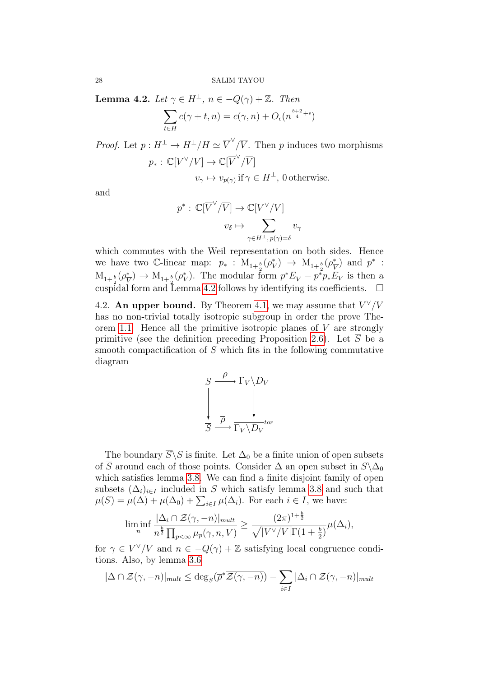<span id="page-27-1"></span>**Lemma 4.2.** Let  $\gamma \in H^{\perp}$ ,  $n \in -Q(\gamma) + \mathbb{Z}$ . Then

$$
\sum_{t \in H} c(\gamma + t, n) = \overline{c}(\overline{\gamma}, n) + O_{\epsilon}(n^{\frac{b+2}{4} + \epsilon})
$$

*Proof.* Let  $p: H^{\perp} \to H^{\perp}/H \simeq \overline{V}^{\vee}/\overline{V}$ . Then p induces two morphisms  $p_*:\,\mathbb{C}[V^\vee/V]\to\mathbb{C}[\overline{V}^\vee/\overline{V}]$ 

 $v_{\gamma} \mapsto v_{p(\gamma)}$  if  $\gamma \in H^{\perp}$ , 0 otherwise.

and

$$
p^* : \mathbb{C}[\overline{V}^{\vee}/\overline{V}] \to \mathbb{C}[V^{\vee}/V]
$$

$$
v_{\delta} \mapsto \sum_{\gamma \in H^{\perp}, p(\gamma) = \delta} v_{\gamma}
$$

which commutes with the Weil representation on both sides. Hence we have two C-linear map:  $p_* : M_{1+\frac{b}{2}}(\rho_V^*) \to M_{1+\frac{b}{2}}(\rho_V^*)$  $\frac{1}{V}$  and  $p^*$  :  $M_{1+\frac{b}{2}}(\rho_{\overline{V}}^*)$ cuspidal form and Lemma [4.2](#page-27-1) follows by identifying its coefficients.  $\square$  $(\frac{\ast}{V}) \to M_{1+\frac{b}{2}}(\rho_V^*).$  The modular form  $p^*E_{\overline{V}} - p^*\rho_*E_V$  is then a

<span id="page-27-0"></span>4.2. An upper bound. By Theorem [4.1,](#page-26-2) we may assume that  $V^{\vee}/V$ has no non-trivial totally isotropic subgroup in order the prove The-orem [1.1.](#page-2-0) Hence all the primitive isotropic planes of  $V$  are strongly primitive (see the definition preceding Proposition [2.6\)](#page-12-0). Let S be a smooth compactification of S which fits in the following commutative diagram



The boundary  $\overline{S}\backslash S$  is finite. Let  $\Delta_0$  be a finite union of open subsets of  $\overline{S}$  around each of those points. Consider  $\Delta$  an open subset in  $S\setminus\Delta_0$ which satisfies lemma [3.8.](#page-22-0) We can find a finite disjoint family of open subsets  $(\Delta_i)_{i\in I}$  included in S which satisfy lemma [3.8](#page-22-0) and such that  $\mu(S) = \mu(\Delta) + \mu(\Delta_0) + \sum_{i \in I} \mu(\Delta_i)$ . For each  $i \in I$ , we have:

$$
\liminf_{n}\frac{|\Delta_i \cap \mathcal{Z}(\gamma,-n)|_{mult}}{n^{\frac{b}{2}}\prod_{p<\infty}\mu_p(\gamma,n,V)} \geq \frac{(2\pi)^{1+\frac{b}{2}}}{\sqrt{|V^{\vee}/V|}\Gamma(1+\frac{b}{2})}\mu(\Delta_i),
$$

for  $\gamma \in V^{\vee}/V$  and  $n \in -Q(\gamma) + \mathbb{Z}$  satisfying local congruence conditions. Also, by lemma [3.6](#page-21-0)

$$
|\Delta \cap \mathcal{Z}(\gamma, -n)|_{mult} \le \deg_{\overline{S}}(\overline{\rho}^* \overline{\mathcal{Z}(\gamma, -n)}) - \sum_{i \in I} |\Delta_i \cap \mathcal{Z}(\gamma, -n)|_{mult}
$$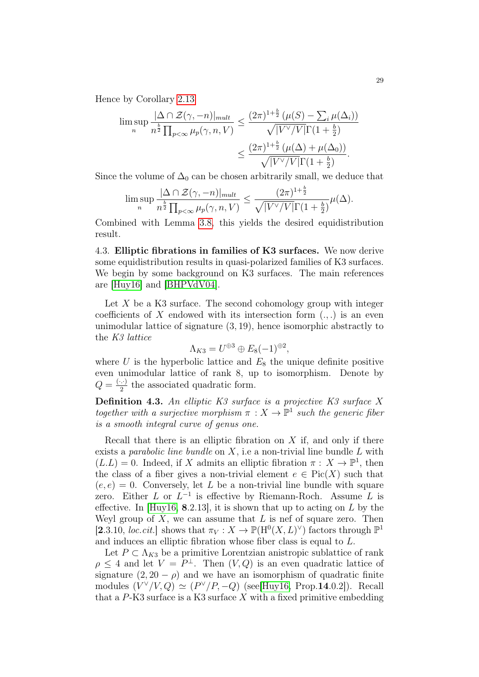Hence by Corollary [2.13](#page-15-2)

$$
\limsup_{n} \frac{|\Delta \cap \mathcal{Z}(\gamma, -n)|_{mult}}{n^{\frac{b}{2}} \prod_{p < \infty} \mu_p(\gamma, n, V)} \leq \frac{(2\pi)^{1+\frac{b}{2}} (\mu(S) - \sum_{i} \mu(\Delta_i))}{\sqrt{|V^{\vee}/V|} \Gamma(1 + \frac{b}{2})}
$$

$$
\leq \frac{(2\pi)^{1+\frac{b}{2}} (\mu(\Delta) + \mu(\Delta_0))}{\sqrt{|V^{\vee}/V|} \Gamma(1 + \frac{b}{2})}.
$$

Since the volume of  $\Delta_0$  can be chosen arbitrarily small, we deduce that

$$
\limsup_n \frac{|\Delta \cap \mathcal{Z}(\gamma,-n)|_{mult}}{n^{\frac{b}{2}} \prod_{p<\infty} \mu_p(\gamma,n,V)} \leq \frac{(2\pi)^{1+\frac{b}{2}}}{\sqrt{|V^{\vee}/V|}\Gamma(1+\frac{b}{2})} \mu(\Delta).
$$

Combined with Lemma [3.8,](#page-22-0) this yields the desired equidistribution result.

<span id="page-28-0"></span>4.3. Elliptic fibrations in families of K3 surfaces. We now derive some equidistribution results in quasi-polarized families of K3 surfaces. We begin by some background on K3 surfaces. The main references are [\[Huy16\]](#page-32-5) and [\[BHPVdV04\]](#page-30-5).

Let X be a K3 surface. The second cohomology group with integer coefficients of X endowed with its intersection form  $(.,.)$  is an even unimodular lattice of signature (3, 19), hence isomorphic abstractly to the K3 lattice

$$
\Lambda_{K3} = U^{\oplus 3} \oplus E_8(-1)^{\oplus 2},
$$

where U is the hyperbolic lattice and  $E_8$  the unique definite positive even unimodular lattice of rank 8, up to isomorphism. Denote by  $Q=\frac{(\cdot\cdot\cdot)}{2}$  $\frac{1}{2}$  the associated quadratic form.

**Definition 4.3.** An elliptic  $K3$  surface is a projective  $K3$  surface X together with a surjective morphism  $\pi : X \to \mathbb{P}^1$  such the generic fiber is a smooth integral curve of genus one.

Recall that there is an elliptic fibration on  $X$  if, and only if there exists a *parabolic line bundle* on  $X$ , i.e a non-trivial line bundle  $L$  with  $(L.L) = 0$ . Indeed, if X admits an elliptic fibration  $\pi : X \to \mathbb{P}^1$ , then the class of a fiber gives a non-trivial element  $e \in Pic(X)$  such that  $(e, e) = 0$ . Conversely, let L be a non-trivial line bundle with square zero. Either  $L$  or  $L^{-1}$  is effective by Riemann-Roch. Assume  $L$  is effective. In [\[Huy16,](#page-32-5) 8.2.13], it is shown that up to acting on  $L$  by the Weyl group of  $X$ , we can assume that  $L$  is nef of square zero. Then [2.3.10, loc.cit.] shows that  $\pi_V : X \to \mathbb{P}(\mathrm{H}^0(X, L)^\vee)$  factors through  $\mathbb{P}^1$ and induces an elliptic fibration whose fiber class is equal to L.

Let  $P \subset \Lambda_{K3}$  be a primitive Lorentzian anistropic sublattice of rank  $\rho \leq 4$  and let  $V = P^{\perp}$ . Then  $(V, Q)$  is an even quadratic lattice of signature  $(2, 20 - \rho)$  and we have an isomorphism of quadratic finite modules  $(V^{\vee}/V, Q) \simeq (P^{\vee}/P, -Q)$  (see[\[Huy16,](#page-32-5) Prop.14.0.2]). Recall that a  $P$ -K3 surface is a K3 surface X with a fixed primitive embedding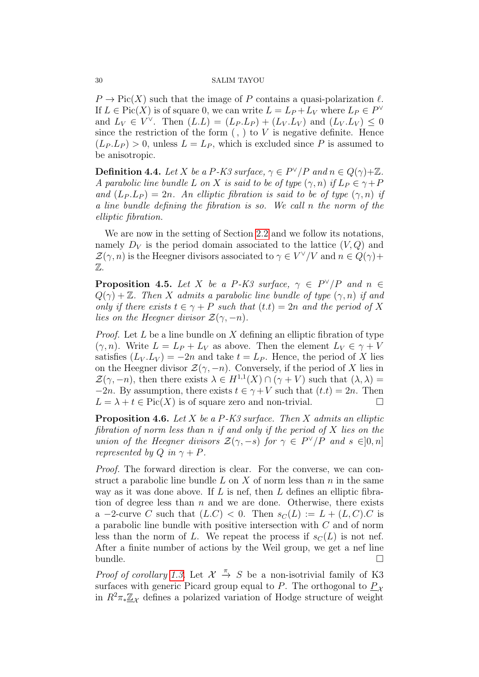$P \to Pic(X)$  such that the image of P contains a quasi-polarization  $\ell$ . If  $L \in Pic(X)$  is of square 0, we can write  $L = L_P + L_V$  where  $L_P \in P^{\vee}$ and  $L_V \in V^{\vee}$ . Then  $(L.L) = (L_P.L_P) + (L_V.L_V)$  and  $(L_V.L_V) \le 0$ since the restriction of the form  $($ ,  $)$  to  $V$  is negative definite. Hence  $(L_P, L_P) > 0$ , unless  $L = L_P$ , which is excluded since P is assumed to be anisotropic.

<span id="page-29-0"></span>**Definition 4.4.** Let X be a P-K3 surface,  $\gamma \in P^{\vee}/P$  and  $n \in Q(\gamma)+\mathbb{Z}$ . A parabolic line bundle L on X is said to be of type  $(\gamma, n)$  if  $L_P \in \gamma + P$ and  $(L_P, L_P) = 2n$ . An elliptic fibration is said to be of type  $(\gamma, n)$  if a line bundle defining the fibration is so. We call n the norm of the elliptic fibration.

We are now in the setting of Section [2.2](#page-8-0) and we follow its notations, namely  $D_V$  is the period domain associated to the lattice  $(V, Q)$  and  $\mathcal{Z}(\gamma,n)$  is the Heegner divisors associated to  $\gamma \in V^{\vee}/V$  and  $n \in Q(\gamma)+$ Z.

<span id="page-29-1"></span>**Proposition 4.5.** Let X be a P-K3 surface,  $\gamma \in P^{\vee}/P$  and  $n \in$  $Q(\gamma) + \mathbb{Z}$ . Then X admits a parabolic line bundle of type  $(\gamma, n)$  if and only if there exists  $t \in \gamma + P$  such that  $(t,t) = 2n$  and the period of X lies on the Heegner divisor  $\mathcal{Z}(\gamma,-n)$ .

*Proof.* Let  $L$  be a line bundle on  $X$  defining an elliptic fibration of type  $(\gamma, n)$ . Write  $L = L_P + L_V$  as above. Then the element  $L_V \in \gamma + V$ satisfies  $(L_V, L_V) = -2n$  and take  $t = L_P$ . Hence, the period of X lies on the Heegner divisor  $\mathcal{Z}(\gamma, -n)$ . Conversely, if the period of X lies in  $\mathcal{Z}(\gamma,-n)$ , then there exists  $\lambda \in H^{1,1}(X) \cap (\gamma + V)$  such that  $(\lambda, \lambda) =$  $-2n$ . By assumption, there exists  $t \in \gamma + V$  such that  $(t.t) = 2n$ . Then  $L = \lambda + t \in Pic(X)$  is of square zero and non-trivial.

<span id="page-29-2"></span>**Proposition 4.6.** Let X be a  $P$ -K3 surface. Then X admits an elliptic fibration of norm less than n if and only if the period of X lies on the union of the Heegner divisors  $\mathcal{Z}(\gamma, -s)$  for  $\gamma \in P^{\vee}/P$  and  $s \in ]0, n]$ represented by  $Q$  in  $\gamma + P$ .

Proof. The forward direction is clear. For the converse, we can construct a parabolic line bundle  $L$  on  $X$  of norm less than  $n$  in the same way as it was done above. If  $L$  is nef, then  $L$  defines an elliptic fibration of degree less than  $n$  and we are done. Otherwise, there exists a -2-curve C such that  $(L.C) < 0$ . Then  $s<sub>C</sub>(L) := L + (L, C).C$  is a parabolic line bundle with positive intersection with C and of norm less than the norm of L. We repeat the process if  $s<sub>C</sub>(L)$  is not nef. After a finite number of actions by the Weil group, we get a nef line bundle.  $\square$ 

*Proof of corollary [1.3.](#page-3-0)* Let  $\mathcal{X} \stackrel{\pi}{\rightarrow} S$  be a non-isotrivial family of K3 surfaces with generic Picard group equal to P. The orthogonal to  $P<sub>x</sub>$ in  $R^2\pi_*\underline{\mathbb{Z}}_{\chi}$  defines a polarized variation of Hodge structure of weight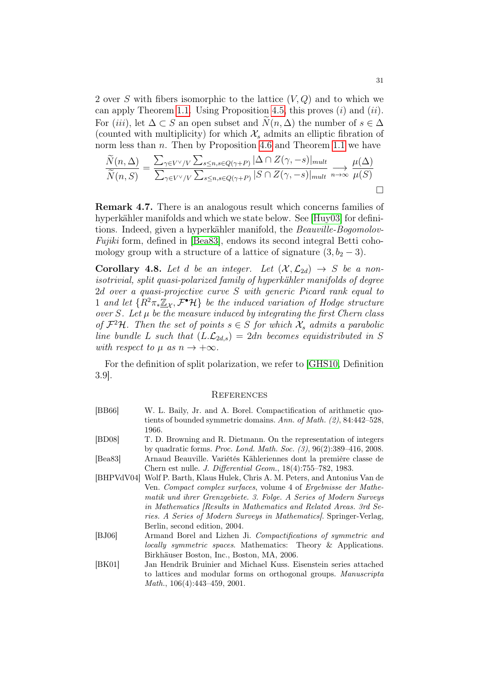2 over S with fibers isomorphic to the lattice  $(V, Q)$  and to which we can apply Theorem [1.1.](#page-2-0) Using Proposition [4.5,](#page-29-1) this proves  $(i)$  and  $(ii)$ . For (iii), let  $\Delta \subset S$  an open subset and  $\tilde{N}(n, \Delta)$  the number of  $s \in \Delta$ (counted with multiplicity) for which  $\mathcal{X}_s$  admits an elliptic fibration of norm less than  $n$ . Then by Proposition [4.6](#page-29-2) and Theorem [1.1](#page-2-0) we have

$$
\frac{\widetilde{N}(n,\Delta)}{\widetilde{N}(n,S)} = \frac{\sum_{\gamma \in V^{\vee}/V} \sum_{s \leq n,s \in Q(\gamma+P)} |\Delta \cap Z(\gamma,-s)|_{mult}}{\sum_{\gamma \in V^{\vee}/V} \sum_{s \leq n,s \in Q(\gamma+P)} |S \cap Z(\gamma,-s)|_{mult}} \xrightarrow[n \to \infty]{} \frac{\mu(\Delta)}{\mu(S)} \square
$$

Remark 4.7. There is an analogous result which concerns families of hyperkähler manifolds and which we state below. See [\[Huy03\]](#page-32-18) for definitions. Indeed, given a hyperkähler manifold, the Beauville-Bogomolov-Fujiki form, defined in [\[Bea83\]](#page-30-6), endows its second integral Betti cohomology group with a structure of a lattice of signature  $(3, b<sub>2</sub> - 3)$ .

**Corollary 4.8.** Let d be an integer. Let  $(\mathcal{X}, \mathcal{L}_{2d}) \rightarrow S$  be a nonisotrivial, split quasi-polarized family of hyperkähler manifolds of degree 2d over a quasi-projective curve S with generic Picard rank equal to 1 and let  $\{R^2\pi_*\underline{\mathbb{Z}}_{\mathcal{X}},\mathcal{F}^{\bullet}\mathcal{H}\}\$ be the induced variation of Hodge structure over  $S$ . Let  $\mu$  be the measure induced by integrating the first Chern class of  $\mathcal{F}^2\mathcal{H}$ . Then the set of points  $s \in S$  for which  $\mathcal{X}_s$  admits a parabolic line bundle L such that  $(L.\mathcal{L}_{2d,s}) = 2dn$  becomes equidistributed in S with respect to  $\mu$  as  $n \to +\infty$ .

For the definition of split polarization, we refer to [\[GHS10,](#page-31-18) Definition 3.9].

### <span id="page-30-0"></span>**REFERENCES**

- <span id="page-30-1"></span>[BB66] W. L. Baily, Jr. and A. Borel. Compactification of arithmetic quotients of bounded symmetric domains. Ann. of Math. (2), 84:442–528, 1966.
- <span id="page-30-3"></span>[BD08] T. D. Browning and R. Dietmann. On the representation of integers by quadratic forms. Proc. Lond. Math. Soc. (3), 96(2):389–416, 2008.
- <span id="page-30-6"></span>[Bea83] Arnaud Beauville. Variétés Kähleriennes dont la première classe de Chern est nulle. J. Differential Geom., 18(4):755–782, 1983.
- <span id="page-30-5"></span>[BHPVdV04] Wolf P. Barth, Klaus Hulek, Chris A. M. Peters, and Antonius Van de Ven. Compact complex surfaces, volume 4 of Ergebnisse der Mathematik und ihrer Grenzgebiete. 3. Folge. A Series of Modern Surveys in Mathematics [Results in Mathematics and Related Areas. 3rd Series. A Series of Modern Surveys in Mathematics]. Springer-Verlag, Berlin, second edition, 2004.
- <span id="page-30-4"></span>[BJ06] Armand Borel and Lizhen Ji. Compactifications of symmetric and locally symmetric spaces. Mathematics: Theory & Applications. Birkhäuser Boston, Inc., Boston, MA, 2006.
- <span id="page-30-2"></span>[BK01] Jan Hendrik Bruinier and Michael Kuss. Eisenstein series attached to lattices and modular forms on orthogonal groups. Manuscripta Math., 106(4):443–459, 2001.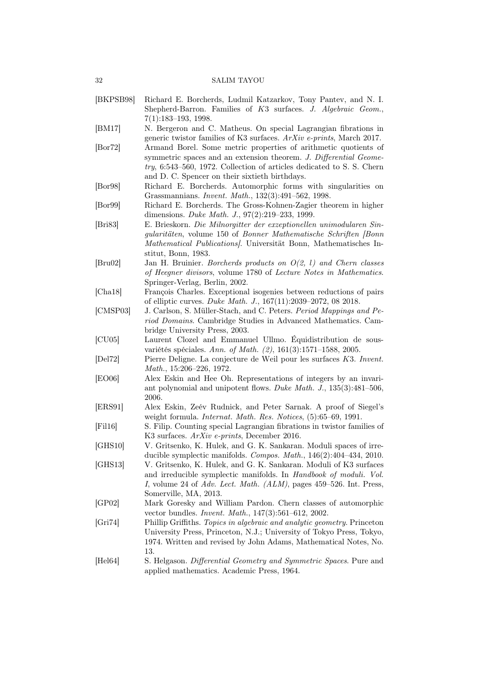- <span id="page-31-0"></span>[BKPSB98] Richard E. Borcherds, Ludmil Katzarkov, Tony Pantev, and N. I. Shepherd-Barron. Families of K3 surfaces. J. Algebraic Geom., 7(1):183–193, 1998.
- <span id="page-31-6"></span>[BM17] N. Bergeron and C. Matheus. On special Lagrangian fibrations in generic twistor families of K3 surfaces. ArXiv e-prints, March 2017.
- <span id="page-31-9"></span>[Bor72] Armand Borel. Some metric properties of arithmetic quotients of symmetric spaces and an extension theorem. J. Differential Geometry, 6:543–560, 1972. Collection of articles dedicated to S. S. Chern and D. C. Spencer on their sixtieth birthdays.
- <span id="page-31-12"></span>[Bor98] Richard E. Borcherds. Automorphic forms with singularities on Grassmannians. Invent. Math., 132(3):491–562, 1998.
- <span id="page-31-10"></span>[Bor99] Richard E. Borcherds. The Gross-Kohnen-Zagier theorem in higher dimensions. Duke Math. J., 97(2):219–233, 1999.
- <span id="page-31-15"></span>[Bri83] E. Brieskorn. Die Milnorgitter der exzeptionellen unimodularen Singularitäten, volume 150 of Bonner Mathematische Schriften [Bonn Mathematical Publications]. Universität Bonn, Mathematisches Institut, Bonn, 1983.
- <span id="page-31-13"></span>[Bru02] Jan H. Bruinier. Borcherds products on O(2, l) and Chern classes of Heegner divisors, volume 1780 of Lecture Notes in Mathematics. Springer-Verlag, Berlin, 2002.
- <span id="page-31-8"></span>[Cha18] François Charles. Exceptional isogenies between reductions of pairs of elliptic curves. Duke Math. J., 167(11):2039–2072, 08 2018.
- <span id="page-31-16"></span>[CMSP03] J. Carlson, S. Müller-Stach, and C. Peters. Period Mappings and Period Domains. Cambridge Studies in Advanced Mathematics. Cambridge University Press, 2003.
- <span id="page-31-3"></span>[CU05] Laurent Clozel and Emmanuel Ullmo. Équidistribution de sousvariétés spéciales. Ann. of Math. (2), 161(3):1571–1588, 2005.
- <span id="page-31-1"></span>[Del72] Pierre Deligne. La conjecture de Weil pour les surfaces K3. Invent. Math., 15:206–226, 1972.
- <span id="page-31-11"></span>[EO06] Alex Eskin and Hee Oh. Representations of integers by an invariant polynomial and unipotent flows. Duke Math. J., 135(3):481–506, 2006.
- <span id="page-31-7"></span>[ERS91] Alex Eskin, Zeév Rudnick, and Peter Sarnak. A proof of Siegel's weight formula. Internat. Math. Res. Notices, (5):65–69, 1991.
- <span id="page-31-5"></span>[Fil16] S. Filip. Counting special Lagrangian fibrations in twistor families of K3 surfaces. ArXiv e-prints, December 2016.
- <span id="page-31-18"></span>[GHS10] V. Gritsenko, K. Hulek, and G. K. Sankaran. Moduli spaces of irreducible symplectic manifolds. Compos. Math., 146(2):404–434, 2010.
- <span id="page-31-14"></span>[GHS13] V. Gritsenko, K. Hulek, and G. K. Sankaran. Moduli of K3 surfaces and irreducible symplectic manifolds. In Handbook of moduli. Vol. I, volume 24 of Adv. Lect. Math. (ALM), pages 459–526. Int. Press, Somerville, MA, 2013.
- <span id="page-31-17"></span>[GP02] Mark Goresky and William Pardon. Chern classes of automorphic vector bundles. Invent. Math., 147(3):561–612, 2002.
- <span id="page-31-2"></span>[Gri74] Phillip Griffiths. Topics in algebraic and analytic geometry. Princeton University Press, Princeton, N.J.; University of Tokyo Press, Tokyo, 1974. Written and revised by John Adams, Mathematical Notes, No. 13.
- <span id="page-31-4"></span>[Hel64] S. Helgason. Differential Geometry and Symmetric Spaces. Pure and applied mathematics. Academic Press, 1964.